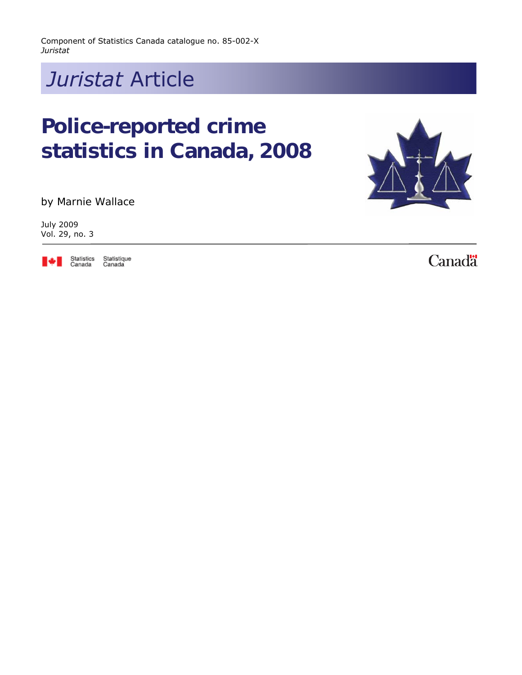Component of Statistics Canada catalogue no. 85-002-X *Juristat*



# Police-reported crime statistics in Canada, 2008

by Marnie Wallace

July 2009 Vol. 29, no. 3



Statistique<br>Canada

**Canada** 

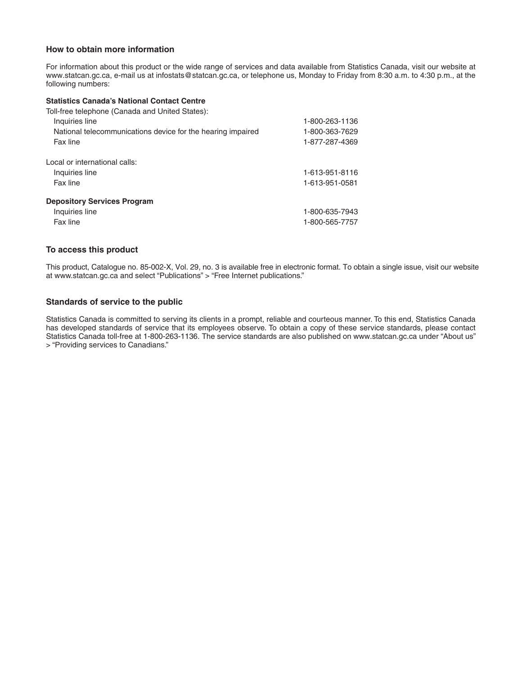#### **How to obtain more information**

For information about this product or the wide range of services and data available from Statistics Canada, visit our website at www.statcan.gc.ca, e-mail us at infostats@statcan.gc.ca, or telephone us, Monday to Friday from 8:30 a.m. to 4:30 p.m., at the following numbers:

#### **Statistics Canada's National Contact Centre**

| Toll-free telephone (Canada and United States):             |                |
|-------------------------------------------------------------|----------------|
| Inquiries line                                              | 1-800-263-1136 |
| National telecommunications device for the hearing impaired | 1-800-363-7629 |
| Fax line                                                    | 1-877-287-4369 |
| Local or international calls:                               |                |
| Inquiries line                                              | 1-613-951-8116 |
| Fax line                                                    | 1-613-951-0581 |
| <b>Depository Services Program</b>                          |                |
| Inquiries line                                              | 1-800-635-7943 |
| Fax line                                                    | 1-800-565-7757 |

#### **To access this product**

This product, Catalogue no. 85-002-X, Vol. 29, no. 3 is available free in electronic format. To obtain a single issue, visit our website at www.statcan.gc.ca and select "Publications" > "Free Internet publications."

#### **Standards of service to the public**

Statistics Canada is committed to serving its clients in a prompt, reliable and courteous manner. To this end, Statistics Canada has developed standards of service that its employees observe. To obtain a copy of these service standards, please contact Statistics Canada toll-free at 1-800-263-1136. The service standards are also published on www.statcan.gc.ca under "About us" > "Providing services to Canadians."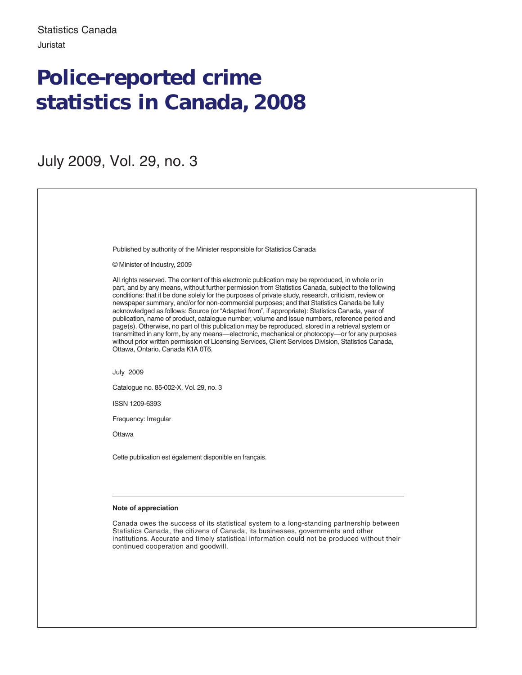# Police-reported crime statistics in Canada, 2008

July 2009, Vol. 29, no. 3

Published by authority of the Minister responsible for Statistics Canada

© Minister of Industry, 2009

All rights reserved. The content of this electronic publication may be reproduced, in whole or in part, and by any means, without further permission from Statistics Canada, subject to the following conditions: that it be done solely for the purposes of private study, research, criticism, review or newspaper summary, and/or for non-commercial purposes; and that Statistics Canada be fully acknowledged as follows: Source (or "Adapted from", if appropriate): Statistics Canada, year of publication, name of product, catalogue number, volume and issue numbers, reference period and page(s). Otherwise, no part of this publication may be reproduced, stored in a retrieval system or transmitted in any form, by any means—electronic, mechanical or photocopy—or for any purposes without prior written permission of Licensing Services, Client Services Division, Statistics Canada, Ottawa, Ontario, Canada K1A 0T6.

July 2009

Catalogue no. 85-002-X, Vol. 29, no. 3

ISSN 1209-6393

Frequency: Irregular

**Ottawa** 

Cette publication est également disponible en français.

#### **Note of appreciation**

Canada owes the success of its statistical system to a long-standing partnership between Statistics Canada, the citizens of Canada, its businesses, governments and other institutions. Accurate and timely statistical information could not be produced without their continued cooperation and goodwill.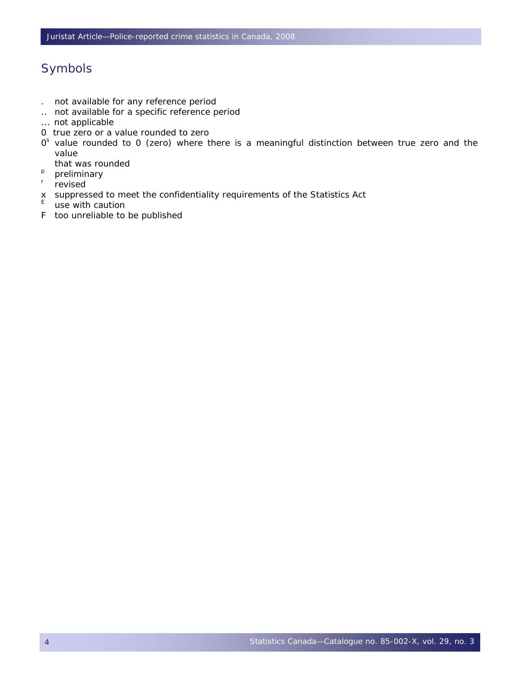# Symbols

- . not available for any reference period
- .. not available for a specific reference period
- ... not applicable
- 0 true zero or a value rounded to zero
- $0<sup>s</sup>$  value rounded to 0 (zero) where there is a meaningful distinction between true zero and the value
	- that was rounded
- p preliminary
- r revised
- x suppressed to meet the confidentiality requirements of the *Statistics Act*  E
- use with caution
- F too unreliable to be published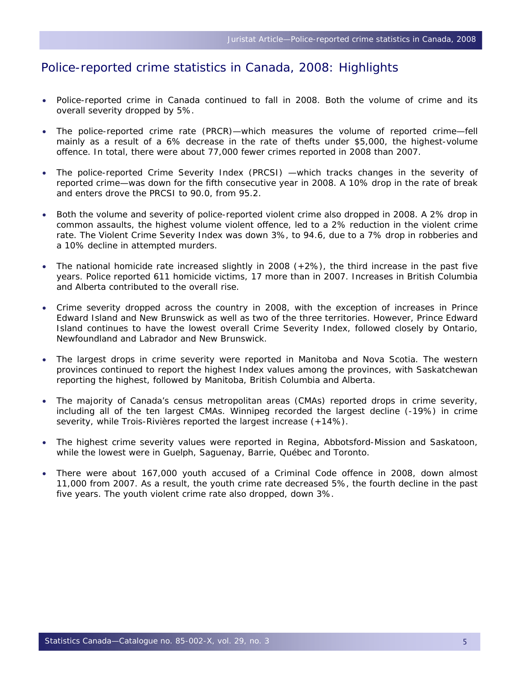# Police-reported crime statistics in Canada, 2008: Highlights

- Police-reported crime in Canada continued to fall in 2008. Both the volume of crime and its overall severity dropped by 5%.
- The police-reported crime rate (PRCR)—which measures the volume of reported crime—fell mainly as a result of a 6% decrease in the rate of thefts under \$5,000, the highest-volume offence. In total, there were about 77,000 fewer crimes reported in 2008 than 2007.
- The police-reported Crime Severity Index (PRCSI) —which tracks changes in the severity of reported crime—was down for the fifth consecutive year in 2008. A 10% drop in the rate of break and enters drove the PRCSI to 90.0, from 95.2.
- Both the volume and severity of police-reported violent crime also dropped in 2008. A 2% drop in common assaults, the highest volume violent offence, led to a 2% reduction in the violent crime rate. The Violent Crime Severity Index was down 3%, to 94.6, due to a 7% drop in robberies and a 10% decline in attempted murders.
- The national homicide rate increased slightly in 2008  $(+2%)$ , the third increase in the past five years. Police reported 611 homicide victims, 17 more than in 2007. Increases in British Columbia and Alberta contributed to the overall rise.
- Crime severity dropped across the country in 2008, with the exception of increases in Prince Edward Island and New Brunswick as well as two of the three territories. However, Prince Edward Island continues to have the lowest overall Crime Severity Index, followed closely by Ontario, Newfoundland and Labrador and New Brunswick.
- The largest drops in crime severity were reported in Manitoba and Nova Scotia. The western provinces continued to report the highest Index values among the provinces, with Saskatchewan reporting the highest, followed by Manitoba, British Columbia and Alberta.
- The majority of Canada's census metropolitan areas (CMAs) reported drops in crime severity, including all of the ten largest CMAs. Winnipeg recorded the largest decline (-19%) in crime severity, while Trois-Rivières reported the largest increase (+14%).
- The highest crime severity values were reported in Regina, Abbotsford-Mission and Saskatoon, while the lowest were in Guelph, Saguenay, Barrie, Québec and Toronto.
- There were about 167,000 youth accused of a *Criminal Code* offence in 2008, down almost 11,000 from 2007. As a result, the youth crime rate decreased 5%, the fourth decline in the past five years. The youth violent crime rate also dropped, down 3%.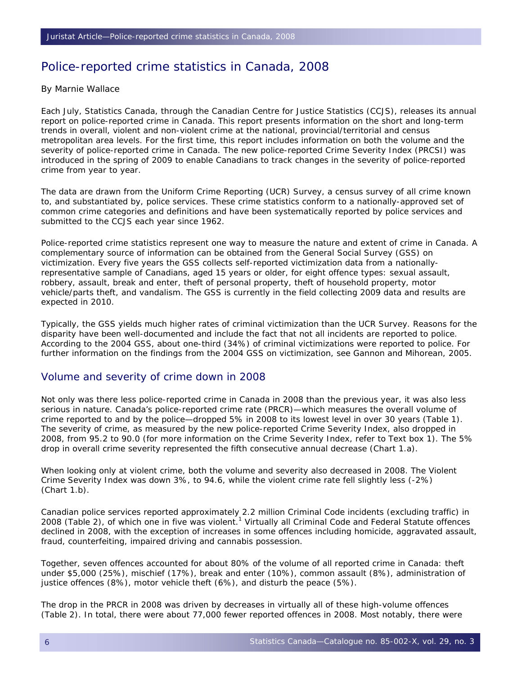# Police-reported crime statistics in Canada, 2008

#### By Marnie Wallace

Each July, Statistics Canada, through the Canadian Centre for Justice Statistics (CCJS), releases its annual report on police-reported crime in Canada. This report presents information on the short and long-term trends in overall, violent and non-violent crime at the national, provincial/territorial and census metropolitan area levels. For the first time, this report includes information on both the volume and the severity of police-reported crime in Canada. The new [police-reported Crime Severity Index \(PRCSI\)](http://www.statcan.gc.ca:8092/pub/85-002-x/2009003/definitions-eng.htm#p8) was introduced in the spring of 2009 to enable Canadians to track changes in the severity of police-reported crime from year to year.

The data are drawn from the [Uniform Crime Reporting \(UCR\)](http://www.statcan.gc.ca:8092/pub/85-002-x/2009003/sources-eng.htm#u2) Survey, a census survey of all crime known to, and substantiated by, police services. These crime statistics conform to a nationally-approved set of common crime categories and definitions and have been systematically reported by police services and submitted to the CCJS each year since 1962.

Police-reported crime statistics represent one way to measure the nature and extent of crime in Canada. A complementary source of information can be obtained from the [General Social Survey \(GSS\)](http://www.statcan.gc.ca:8092/pub/85-002-x/2009003/sources-eng.htm#g2) on victimization. Every five years the GSS collects self-reported victimization data from a nationallyrepresentative sample of Canadians, aged 15 years or older, for eight offence types: sexual assault, robbery, assault, break and enter, theft of personal property, theft of household property, motor vehicle/parts theft, and vandalism. The GSS is currently in the field collecting 2009 data and results are expected in 2010.

Typically, the GSS yields much higher rates of criminal victimization than the UCR Survey. Reasons for the disparity have been well-documented and include the fact that not all incidents are reported to police. According to the 2004 GSS, about one-third (34%) of criminal victimizations were reported to police. For further information on the findings from the 2004 GSS on victimization, see [Gannon and Mihorean, 2005.](http://www.statcan.gc.ca:8092/pub/85-002-x/2009003/article/10902-eng.htm#r6) 

#### Volume and severity of crime down in 2008

Not only was there less police-reported crime in Canada in 2008 than the previous year, it was also less serious in nature. Canada's [police-reported crime rate \(PRCR\)](http://www.statcan.gc.ca:8092/pub/85-002-x/2009003/definitions-eng.htm#p7)—which measures the overall volume of crime reported to and by the police—dropped 5% in 2008 to its lowest level in over 30 years [\(Table 1\)](http://www.statcan.gc.ca:8092/pub/85-002-x/2009003/article/10902/tbl/t1-eng.htm). The severity of crime, as measured by the new [police-reported Crime Severity Index](http://www.statcan.gc.ca:8092/pub/85-002-x/2009003/definitions-eng.htm#p8), also dropped in 2008, from 95.2 to 90.0 (for more information on the Crime Severity Index, refer to [Text box 1\)](http://www.statcan.gc.ca:8092/pub/85-002-x/2009003/article/10902-eng.htm#tx). The 5% drop in overall crime severity represented the fifth consecutive annual decrease (Chart 1.a).

When looking only at violent crime, both the volume and severity also decreased in 2008. The Violent Crime Severity Index was down 3%, to 94.6, while the violent crime rate fell slightly less (-2%) (Chart 1.b).

Canadian police services reported approximately 2.2 million *Criminal Code* incidents (excluding traffic) in 2008 ([Table 2](http://www.statcan.gc.ca:8092/pub/85-002-x/2009003/article/10902/tbl/t2-eng.htm)), of which one in five was violent.<sup>[1](http://www.statcan.gc.ca:8092/pub/85-002-x/2009003/article/10902-eng.htm#n1)</sup> Virtually all *Criminal Code* and Federal Statute offences declined in 2008, with the exception of increases in some offences including homicide, aggravated assault, fraud, counterfeiting, impaired driving and cannabis possession.

Together, seven offences accounted for about 80% of the volume of all reported crime in Canada: theft under \$5,000 (25%), mischief (17%), break and enter (10%), common assault (8%), administration of justice offences (8%), motor vehicle theft (6%), and disturb the peace (5%).

The drop in the PRCR in 2008 was driven by decreases in virtually all of these high-volume offences [\(Table 2\)](http://www.statcan.gc.ca:8092/pub/85-002-x/2009003/article/10902/tbl/t2-eng.htm). In total, there were about 77,000 fewer reported offences in 2008. Most notably, there were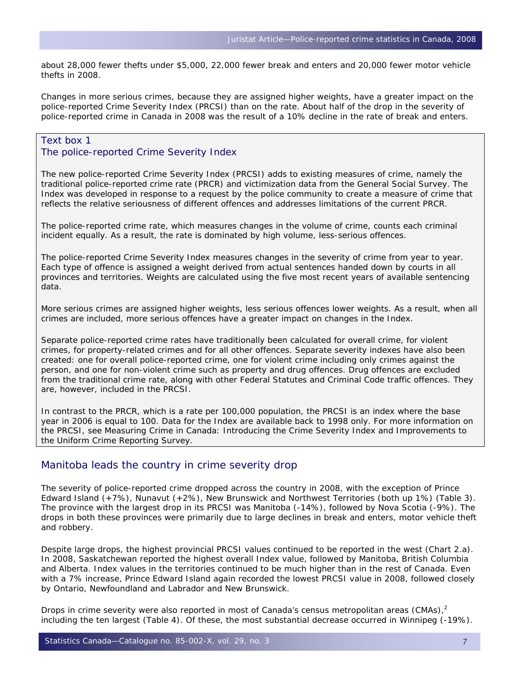about 28,000 fewer thefts under \$5,000, 22,000 fewer break and enters and 20,000 fewer motor vehicle thefts in 2008.

Changes in more serious crimes, because they are assigned higher weights, have a greater impact on the police-reported Crime Severity Index (PRCSI) than on the rate. About half of the drop in the severity of police-reported crime in Canada in 2008 was the result of a 10% decline in the rate of break and enters.

#### Text box 1 The police-reported Crime Severity Index

The new police-reported Crime Severity Index (PRCSI) adds to existing measures of crime, namely the traditional police-reported crime rate (PRCR) and victimization data from the General Social Survey. The Index was developed in response to a request by the police community to create a measure of crime that reflects the relative seriousness of different offences and addresses limitations of the current PRCR.

The police-reported crime rate, which measures changes in the volume of crime, counts each criminal incident equally. As a result, the rate is dominated by high volume, less-serious offences.

The police-reported Crime Severity Index measures changes in the severity of crime from year to year. Each type of offence is assigned a weight derived from actual sentences handed down by courts in all provinces and territories. Weights are calculated using the five most recent years of available sentencing data.

More serious crimes are assigned higher weights, less serious offences lower weights. As a result, when all crimes are included, more serious offences have a greater impact on changes in the Index.

Separate police-reported crime rates have traditionally been calculated for overall crime, for violent crimes, for property-related crimes and for all other offences. Separate severity indexes have also been created: one for overall police-reported crime, one for violent crime including only crimes against the person, and one for non-violent crime such as property and drug offences. Drug offences are excluded from the traditional crime rate, along with other Federal Statutes and *Criminal Code* traffic offences. They are, however, included in the PRCSI.

In contrast to the PRCR, which is a rate per 100,000 population, the PRCSI is an index where the base year in 2006 is equal to 100. Data for the Index are available back to 1998 only. For more information on the PRCSI, see *Measuring Crime in Canada: Introducing the Crime Severity Index and Improvements to the Uniform Crime Reporting Survey.*

#### Manitoba leads the country in crime severity drop

The severity of police-reported crime dropped across the country in 2008, with the exception of Prince Edward Island (+7%), Nunavut (+2%), New Brunswick and Northwest Territories (both up 1%) ([Table 3\)](http://www.statcan.gc.ca:8092/pub/85-002-x/2009003/article/10902/tbl/t3-eng.htm). The province with the largest drop in its PRCSI was Manitoba (-14%), followed by Nova Scotia (-9%). The drops in both these provinces were primarily due to large declines in break and enters, motor vehicle theft and robbery.

Despite large drops, the highest provincial PRCSI values continued to be reported in the west (Chart 2.a). In 2008, Saskatchewan reported the highest overall Index value, followed by Manitoba, British Columbia and Alberta. Index values in the territories continued to be much higher than in the rest of Canada. Even with a 7% increase, Prince Edward Island again recorded the lowest PRCSI value in 2008, followed closely by Ontario, Newfoundland and Labrador and New Brunswick.

Drops in crime severity were also reported in most of Canada's [census metropolitan areas \(CMAs\),](http://www.statcan.gc.ca:8092/pub/85-002-x/2009003/definitions-eng.htm#c2) $<sup>2</sup>$  $<sup>2</sup>$  $<sup>2</sup>$ </sup> including the ten largest ([Table 4\)](http://www.statcan.gc.ca:8092/pub/85-002-x/2009003/article/10902/tbl/t4-eng.htm). Of these, the most substantial decrease occurred in Winnipeg (-19%).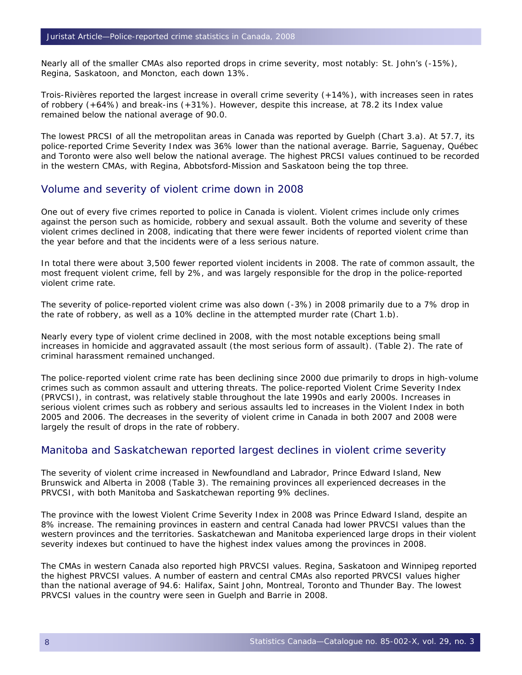Nearly all of the smaller CMAs also reported drops in crime severity, most notably: St. John's (-15%), Regina, Saskatoon, and Moncton, each down 13%.

Trois-Rivières reported the largest increase in overall crime severity (+14%), with increases seen in rates of robbery (+64%) and break-ins (+31%). However, despite this increase, at 78.2 its Index value remained below the national average of 90.0.

The lowest PRCSI of all the metropolitan areas in Canada was reported by Guelph (Chart 3.a). At 57.7, its police-reported Crime Severity Index was 36% lower than the national average. Barrie, Saguenay, Québec and Toronto were also well below the national average. The highest PRCSI values continued to be recorded in the western CMAs, with Regina, Abbotsford-Mission and Saskatoon being the top three.

#### Volume and severity of violent crime down in 2008

One out of every five crimes reported to police in Canada is violent. [Violent crimes](http://www.statcan.gc.ca:8092/pub/85-002-x/2009003/definitions-eng.htm#v2) include only crimes against the person such as homicide, robbery and sexual assault. Both the volume and severity of these violent crimes declined in 2008, indicating that there were fewer incidents of reported violent crime than the year before and that the incidents were of a less serious nature.

In total there were about 3,500 fewer reported violent incidents in 2008. The rate of common [assault,](http://www.statcan.gc.ca:8092/pub/85-002-x/2009003/definitions-eng.htm#a10) the most frequent violent crime, fell by 2%, and was largely responsible for the drop in the police-reported violent crime rate.

The severity of police-reported violent crime was also down (-3%) in 2008 primarily due to a 7% drop in the rate of robbery, as well as a 10% decline in the attempted murder rate ([Chart 1.b](http://www.statcan.gc.ca:8092/pub/85-002-x/2009003/article/10902-eng.htm#c2)).

Nearly every type of violent crime declined in 2008, with the most notable exceptions being small increases in homicide and aggravated [assault](http://www.statcan.gc.ca:8092/pub/85-002-x/2009003/definitions-eng.htm#a10) (the most serious form of assault). [\(Table 2](http://www.statcan.gc.ca:8092/pub/85-002-x/2009003/article/10902/tbl/t2-eng.htm)). The rate of criminal harassment remained unchanged.

The police-reported violent crime rate has been declining since 2000 due primarily to drops in high-volume crimes such as common assault and uttering threats. The police-reported Violent Crime Severity Index (PRVCSI), in contrast, was relatively stable throughout the late 1990s and early 2000s. Increases in serious violent crimes such as robbery and serious assaults led to increases in the Violent Index in both 2005 and 2006. The decreases in the severity of violent crime in Canada in both 2007 and 2008 were largely the result of drops in the rate of robbery.

#### Manitoba and Saskatchewan reported largest declines in violent crime severity

The severity of violent crime increased in Newfoundland and Labrador, Prince Edward Island, New Brunswick and Alberta in 2008 [\(Table 3](http://www.statcan.gc.ca:8092/pub/85-002-x/2009003/article/10902/tbl/t3-eng.htm)). The remaining provinces all experienced decreases in the PRVCSI, with both Manitoba and Saskatchewan reporting 9% declines.

The province with the lowest Violent Crime Severity Index in 2008 was Prince Edward Island, despite an 8% increase. The remaining provinces in eastern and central Canada had lower PRVCSI values than the western provinces and the territories. Saskatchewan and Manitoba experienced large drops in their violent severity indexes but continued to have the highest index values among the provinces in 2008.

The CMAs in western Canada also reported high PRVCSI values. Regina, Saskatoon and Winnipeg reported the highest PRVCSI values. A number of eastern and central CMAs also reported PRVCSI values higher than the national average of 94.6: Halifax, Saint John, Montreal, Toronto and Thunder Bay. The lowest PRVCSI values in the country were seen in Guelph and Barrie in 2008.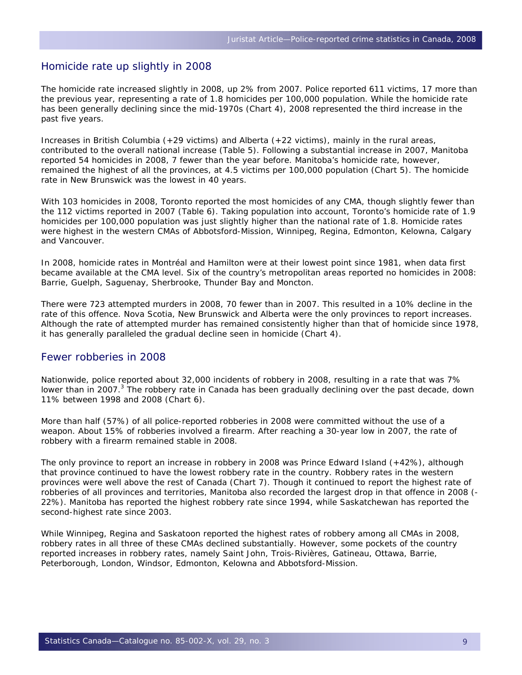#### Homicide rate up slightly in 2008

The homicide rate increased slightly in 2008, up 2% from 2007. Police reported 611 victims, 17 more than the previous year, representing a rate of 1.8 homicides per 100,000 population. While the homicide rate has been generally declining since the mid-1970s (Chart 4), 2008 represented the third increase in the past five years.

Increases in British Columbia (+29 victims) and Alberta (+22 victims), mainly in the rural areas, contributed to the overall national increase ([Table 5\)](http://www.statcan.gc.ca:8092/pub/85-002-x/2009003/article/10902/tbl/t5-eng.htm). Following a substantial increase in 2007, Manitoba reported 54 homicides in 2008, 7 fewer than the year before. Manitoba's homicide rate, however, remained the highest of all the provinces, at 4.5 victims per 100,000 population (Chart 5). The homicide rate in New Brunswick was the lowest in 40 years.

With 103 homicides in 2008, Toronto reported the most homicides of any CMA, though slightly fewer than the 112 victims reported in 2007 [\(Table 6\)](http://www.statcan.gc.ca:8092/pub/85-002-x/2009003/article/10902/tbl/t6-eng.htm). Taking population into account, Toronto's homicide rate of 1.9 homicides per 100,000 population was just slightly higher than the national rate of 1.8. Homicide rates were highest in the western CMAs of Abbotsford-Mission, Winnipeg, Regina, Edmonton, Kelowna, Calgary and Vancouver.

In 2008, homicide rates in Montréal and Hamilton were at their lowest point since 1981, when data first became available at the CMA level. Six of the country's metropolitan areas reported no homicides in 2008: Barrie, Guelph, Saguenay, Sherbrooke, Thunder Bay and Moncton.

There were 723 attempted murders in 2008, 70 fewer than in 2007. This resulted in a 10% decline in the rate of this offence. Nova Scotia, New Brunswick and Alberta were the only provinces to report increases. Although the rate of attempted murder has remained consistently higher than that of homicide since 1978, it has generally paralleled the gradual decline seen in homicide ([Chart 4](http://www.statcan.gc.ca:8092/pub/85-002-x/2009003/article/10902-eng.htm#c5)).

#### Fewer robberies in 2008

Nationwide, police reported about 32,000 incidents of robbery in 2008, resulting in a rate that was 7% lower than in 2007.<sup>[3](http://www.statcan.gc.ca:8092/pub/85-002-x/2009003/article/10902-eng.htm#n3)</sup> The robbery rate in Canada has been gradually declining over the past decade, down 11% between 1998 and 2008 ([Chart 6](http://www.statcan.gc.ca:8092/pub/85-002-x/2009003/article/10902-eng.htm#c7)).

More than half (57%) of all police-reported robberies in 2008 were committed without the use of a weapon. About 15% of robberies involved a firearm. After reaching a 30-year low in 2007, the rate of robbery with a firearm remained stable in 2008.

The only province to report an increase in robbery in 2008 was Prince Edward Island (+42%), although that province continued to have the lowest robbery rate in the country. Robbery rates in the western provinces were well above the rest of Canada (Chart 7). Though it continued to report the highest rate of robberies of all provinces and territories, Manitoba also recorded the largest drop in that offence in 2008 (- 22%). Manitoba has reported the highest robbery rate since 1994, while Saskatchewan has reported the second-highest rate since 2003.

While Winnipeg, Regina and Saskatoon reported the highest rates of robbery among all CMAs in 2008, robbery rates in all three of these CMAs declined substantially. However, some pockets of the country reported increases in robbery rates, namely Saint John, Trois-Rivières, Gatineau, Ottawa, Barrie, Peterborough, London, Windsor, Edmonton, Kelowna and Abbotsford-Mission.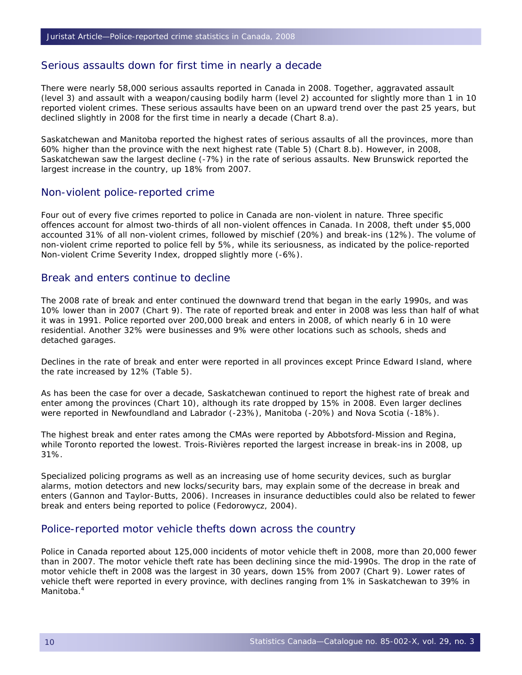#### Serious assaults down for first time in nearly a decade

There were nearly 58,000 serious [assaults](http://www.statcan.gc.ca:8092/pub/85-002-x/2009003/definitions-eng.htm#a10) reported in Canada in 2008. Together, aggravated assault (level 3) and assault with a weapon/causing bodily harm (level 2) accounted for slightly more than 1 in 10 reported violent crimes. These serious assaults have been on an upward trend over the past 25 years, but declined slightly in 2008 for the first time in nearly a decade (Chart 8.a).

Saskatchewan and Manitoba reported the highest rates of serious assaults of all the provinces, more than 60% higher than the province with the next highest rate [\(Table 5\)](http://www.statcan.gc.ca:8092/pub/85-002-x/2009003/article/10902/tbl/t5-eng.htm) (Chart 8.b). However, in 2008, Saskatchewan saw the largest decline (-7%) in the rate of serious assaults. New Brunswick reported the largest increase in the country, up 18% from 2007.

#### Non-violent police-reported crime

Four out of every five crimes reported to police in Canada are non-violent in nature. Three specific offences account for almost two-thirds of all non-violent offences in Canada. In 2008, theft under \$5,000 accounted 31% of all non-violent crimes, followed by mischief (20%) and break-ins (12%). The volume of non-violent crime reported to police fell by 5%, while its seriousness, as indicated by the police-reported Non-violent Crime Severity Index, dropped slightly more (-6%).

#### Break and enters continue to decline

The 2008 rate of break and enter continued the downward trend that began in the early 1990s, and was 10% lower than in 2007 (Chart 9). The rate of reported break and enter in 2008 was less than half of what it was in 1991. Police reported over 200,000 break and enters in 2008, of which nearly 6 in 10 were residential. Another 32% were businesses and 9% were other locations such as schools, sheds and detached garages.

Declines in the rate of break and enter were reported in all provinces except Prince Edward Island, where the rate increased by 12% [\(Table 5](http://www.statcan.gc.ca:8092/pub/85-002-x/2009003/article/10902/tbl/t5-eng.htm)).

As has been the case for over a decade, Saskatchewan continued to report the highest rate of break and enter among the provinces (Chart 10), although its rate dropped by 15% in 2008. Even larger declines were reported in Newfoundland and Labrador (-23%), Manitoba (-20%) and Nova Scotia (-18%).

The highest break and enter rates among the CMAs were reported by Abbotsford-Mission and Regina, while Toronto reported the lowest. Trois-Rivières reported the largest increase in break-ins in 2008, up 31%.

Specialized policing programs as well as an increasing use of home security devices, such as burglar alarms, motion detectors and new locks/security bars, may explain some of the decrease in break and enters ([Gannon and Taylor-Butts, 2006\)](http://www.statcan.gc.ca:8092/pub/85-002-x/2009003/article/10902-eng.htm#r5). Increases in insurance deductibles could also be related to fewer break and enters being reported to police [\(Fedorowycz, 2004](http://www.statcan.gc.ca:8092/pub/85-002-x/2009003/article/10902-eng.htm#r4)).

#### Police-reported motor vehicle thefts down across the country

Police in Canada reported about 125,000 incidents of motor vehicle theft in 2008, more than 20,000 fewer than in 2007. The motor vehicle theft rate has been declining since the mid-1990s. The drop in the rate of motor vehicle theft in 2008 was the largest in 30 years, down 15% from 2007 [\(Chart 9](http://www.statcan.gc.ca:8092/pub/85-002-x/2009003/article/10902-eng.htm#c11)). Lower rates of vehicle theft were reported in every province, with declines ranging from 1% in Saskatchewan to 39% in Manitoba.<sup>4</sup>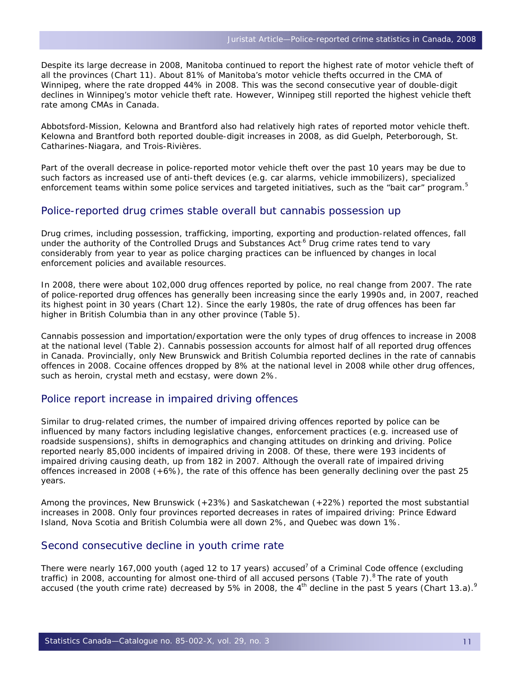Despite its large decrease in 2008, Manitoba continued to report the highest rate of motor vehicle theft of all the provinces (Chart 11). About 81% of Manitoba's motor vehicle thefts occurred in the CMA of Winnipeg, where the rate dropped 44% in 2008. This was the second consecutive year of double-digit declines in Winnipeg's motor vehicle theft rate. However, Winnipeg still reported the highest vehicle theft rate among CMAs in Canada.

Abbotsford-Mission, Kelowna and Brantford also had relatively high rates of reported motor vehicle theft. Kelowna and Brantford both reported double-digit increases in 2008, as did Guelph, Peterborough, St. Catharines-Niagara, and Trois-Rivières.

Part of the overall decrease in police-reported motor vehicle theft over the past 10 years may be due to such factors as increased use of anti-theft devices (e.g. car alarms, vehicle immobilizers), specialized enforcement teams within some police services and targeted initiatives, such as the "bait car" program.<sup>[5](http://www.statcan.gc.ca:8092/pub/85-002-x/2009003/article/10902-eng.htm#n5)</sup>

#### Police-reported drug crimes stable overall but cannabis possession up

Drug crimes, including possession, trafficking, importing, exporting and production-related offences, fall under the authority of the *Controlled Drugs and Substances Act*<sup>6</sup> Drug crime rates tend to vary considerably from year to year as police charging practices can be influenced by changes in local enforcement policies and available resources.

In 2008, there were about 102,000 drug offences reported by police, no real change from 2007. The rate of police-reported drug offences has generally been increasing since the early 1990s and, in 2007, reached its highest point in 30 years (Chart 12). Since the early 1980s, the rate of drug offences has been far higher in British Columbia than in any other province ([Table 5\)](http://www.statcan.gc.ca:8092/pub/85-002-x/2009003/article/10902/tbl/t5-eng.htm).

Cannabis possession and importation/exportation were the only types of drug offences to increase in 2008 at the national level [\(Table 2](http://www.statcan.gc.ca:8092/pub/85-002-x/2009003/article/10902/tbl/t2-eng.htm)). Cannabis possession accounts for almost half of all reported drug offences in Canada. Provincially, only New Brunswick and British Columbia reported declines in the rate of cannabis offences in 2008. Cocaine offences dropped by 8% at the national level in 2008 while other drug offences, such as heroin, crystal meth and ecstasy, were down 2%.

#### Police report increase in impaired driving offences

Similar to drug-related crimes, the number of impaired driving offences reported by police can be influenced by many factors including legislative changes, enforcement practices (e.g. increased use of roadside suspensions), shifts in demographics and changing attitudes on drinking and driving. Police reported nearly 85,000 incidents of impaired driving in 2008. Of these, there were 193 incidents of impaired driving causing death, up from 182 in 2007. Although the overall rate of impaired driving offences increased in 2008 (+6%), the rate of this offence has been generally declining over the past 25 years.

Among the provinces, New Brunswick (+23%) and Saskatchewan (+22%) reported the most substantial increases in 2008. Only four provinces reported decreases in rates of impaired driving: Prince Edward Island, Nova Scotia and British Columbia were all down 2%, and Quebec was down 1%.

#### Second consecutive decline in youth crime rate

There were nearly 167,000 youth (aged 12 to 17 years) accused<sup>7</sup> of a *Criminal Code* offence (excluding traffic) in 2008, accounting for almost one-third of all accused persons ([Table 7](http://www.statcan.gc.ca:8092/pub/85-002-x/2009003/article/10902/tbl/t7-eng.htm)).<sup>8</sup> The rate of youth accused (the youth crime rate) decreased by 5% in 2008, the  $4<sup>th</sup>$  decline in the past 5 years (Chart 13.a).<sup>9</sup>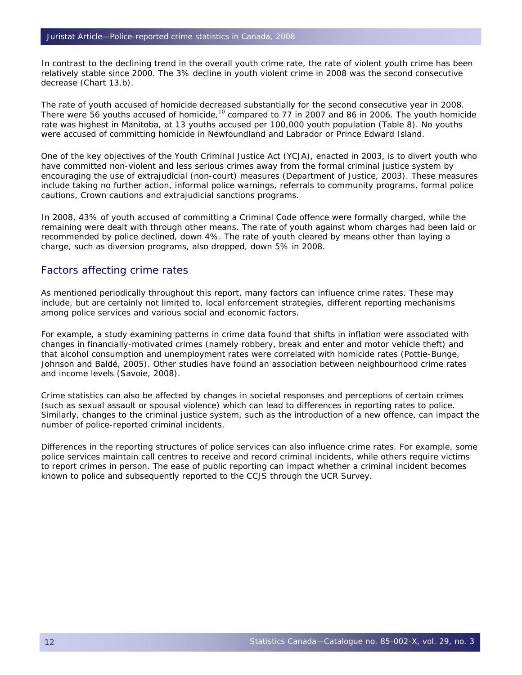In contrast to the declining trend in the overall youth crime rate, the rate of violent youth crime has been relatively stable since 2000. The 3% decline in youth violent crime in 2008 was the second consecutive decrease (Chart 13.b).

The rate of youth accused of homicide decreased substantially for the second consecutive year in 2008. There were 56 youths accused of homicide,<sup>10</sup> compared to 77 in 2007 and 86 in 2006. The youth homicide rate was highest in Manitoba, at 13 youths accused per 100,000 youth population [\(Table 8](http://www.statcan.gc.ca:8092/pub/85-002-x/2009003/article/10902/tbl/t8-eng.htm)). No youths were accused of committing homicide in Newfoundland and Labrador or Prince Edward Island.

One of the key objectives of the *[Youth Criminal Justice Act](http://www.statcan.gc.ca:8092/pub/85-002-x/2009003/article/10902-eng.htm#r3)* (*YCJA*), enacted in 2003, is to divert youth who have committed non-violent and less serious crimes away from the formal criminal justice system by encouraging the use of extrajudicial (non-court) measures ([Department of Justice, 2003\)](http://www.statcan.gc.ca:8092/pub/85-002-x/2009003/article/10902-eng.htm#r3). These measures include taking no further action, informal police warnings, referrals to community programs, formal police cautions, Crown cautions and extrajudicial sanctions programs.

In 2008, 43% of youth accused of committing a *Criminal Code* offence were formally charged, while the remaining were dealt with through other means. The rate of youth against whom charges had been laid or recommended by police declined, down 4%. The rate of youth cleared by means other than laying a charge, such as diversion programs, also dropped, down 5% in 2008.

#### Factors affecting crime rates

As mentioned periodically throughout this report, many factors can influence crime rates. These may include, but are certainly not limited to, local enforcement strategies, different reporting mechanisms among police services and various social and economic factors.

For example, a study examining patterns in crime data found that shifts in inflation were associated with changes in financially-motivated crimes (namely robbery, break and enter and motor vehicle theft) and that alcohol consumption and unemployment rates were correlated with homicide rates [\(Pottie-Bunge,](http://www.statcan.gc.ca:8092/pub/85-002-x/2009003/article/10902-eng.htm#r8)  [Johnson and Baldé, 2005\)](http://www.statcan.gc.ca:8092/pub/85-002-x/2009003/article/10902-eng.htm#r8). Other studies have found an association between neighbourhood crime rates and income levels [\(Savoie, 2008](http://www.statcan.gc.ca:8092/pub/85-002-x/2009003/article/10902-eng.htm#r9)).

Crime statistics can also be affected by changes in societal responses and perceptions of certain crimes (such as sexual assault or spousal violence) which can lead to differences in reporting rates to police. Similarly, changes to the criminal justice system, such as the introduction of a new offence, can impact the number of police-reported criminal incidents.

Differences in the reporting structures of police services can also influence crime rates. For example, some police services maintain call centres to receive and record criminal incidents, while others require victims to report crimes in person. The ease of public reporting can impact whether a criminal incident becomes known to police and subsequently reported to the CCJS through the UCR Survey.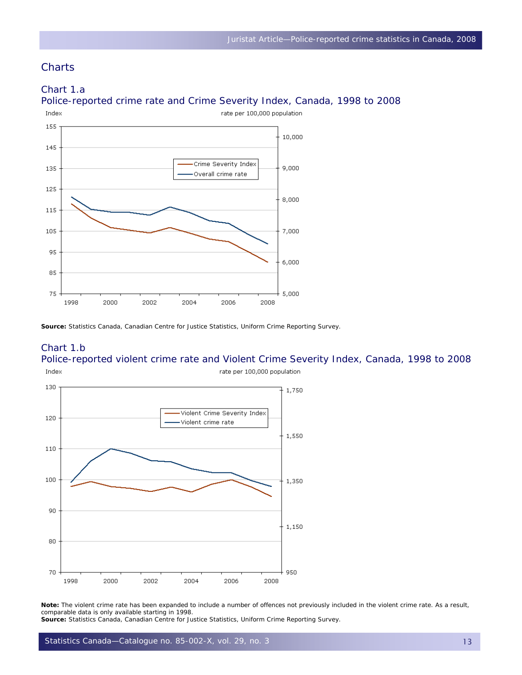# **Charts**



**Source:** Statistics Canada, Canadian Centre for Justice Statistics, Uniform Crime Reporting Survey.

#### Chart 1.b Police-reported violent crime rate and Violent Crime Severity Index, Canada, 1998 to 2008



**Note:** The violent crime rate has been expanded to include a number of offences not previously included in the violent crime rate. As a result, comparable data is only available starting in 1998.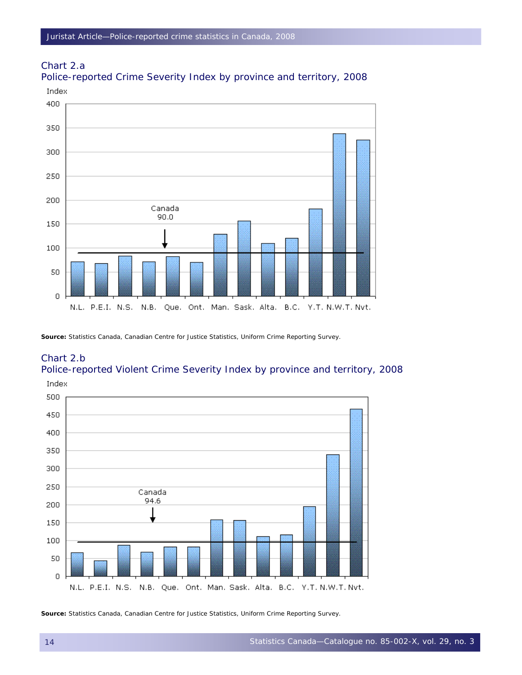### Chart 2.a



Police-reported Crime Severity Index by province and territory, 2008 Index

**Source:** Statistics Canada, Canadian Centre for Justice Statistics, Uniform Crime Reporting Survey.

#### Chart 2.b Police-reported Violent Crime Severity Index by province and territory, 2008

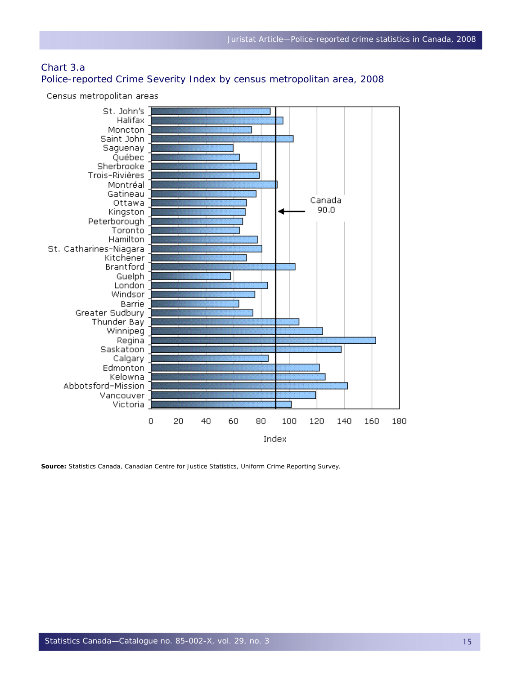#### Chart 3.a Police-reported Crime Severity Index by census metropolitan area, 2008

#### Census metropolitan areas

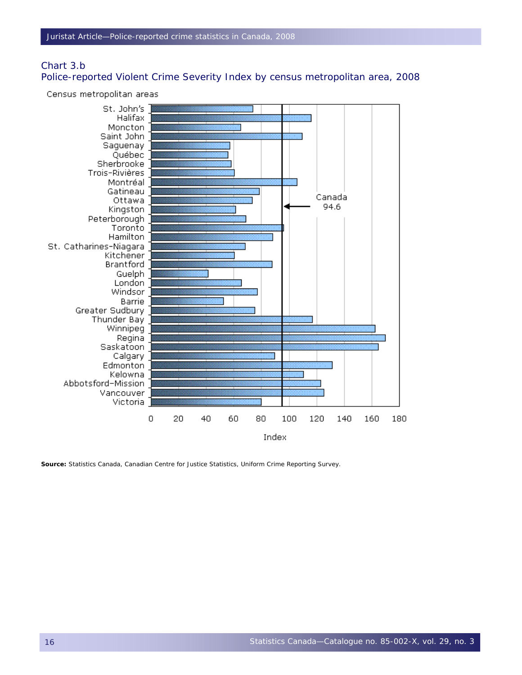#### Chart 3.b Police-reported Violent Crime Severity Index by census metropolitan area, 2008

#### Census metropolitan areas

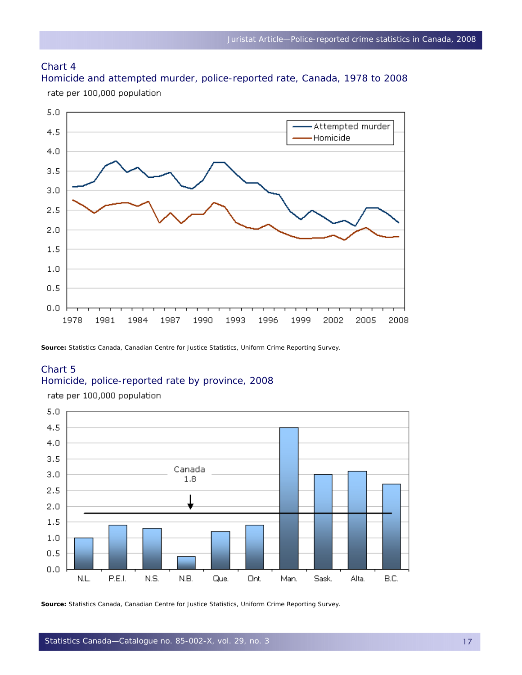

#### Chart 4 Homicide and attempted murder, police-reported rate, Canada, 1978 to 2008

**Source:** Statistics Canada, Canadian Centre for Justice Statistics, Uniform Crime Reporting Survey.

# Chart 5

#### Homicide, police-reported rate by province, 2008

rate per 100,000 population

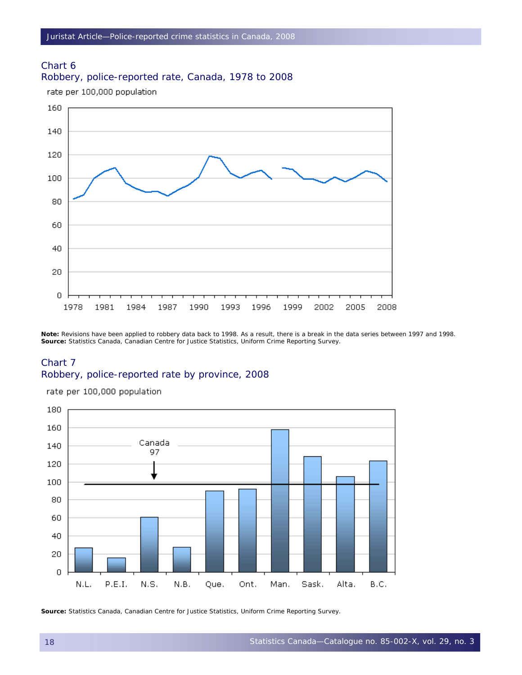# Chart 6



rate per 100,000 population



**Note:** Revisions have been applied to robbery data back to 1998. As a result, there is a break in the data series between 1997 and 1998. **Source:** Statistics Canada, Canadian Centre for Justice Statistics, Uniform Crime Reporting Survey.

#### Chart 7 Robbery, police-reported rate by province, 2008

rate per 100,000 population

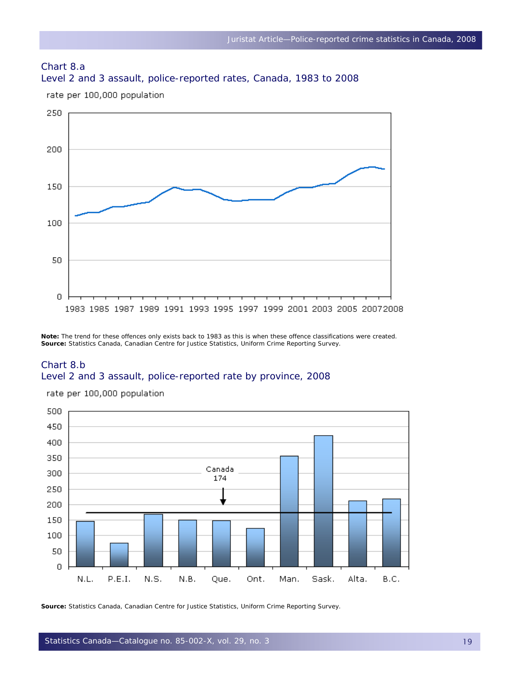#### Chart 8.a Level 2 and 3 assault, police-reported rates, Canada, 1983 to 2008



rate per 100,000 population

**Note:** The trend for these offences only exists back to 1983 as this is when these offence classifications were created. **Source:** Statistics Canada, Canadian Centre for Justice Statistics, Uniform Crime Reporting Survey.

#### Chart 8.b Level 2 and 3 assault, police-reported rate by province, 2008

rate per 100,000 population

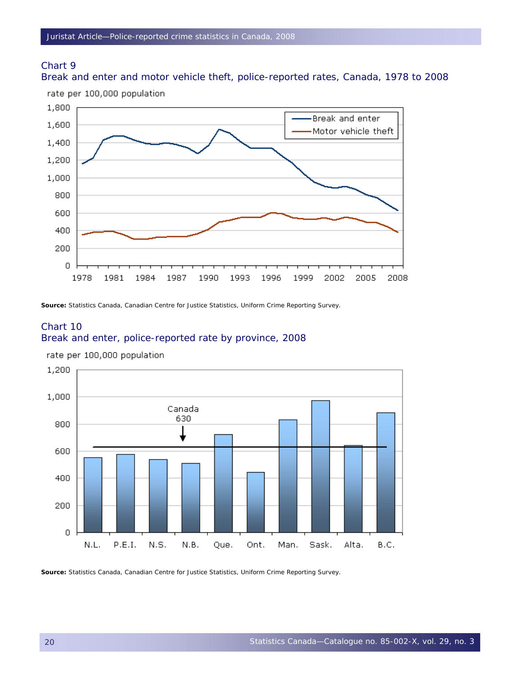## Chart 9 Break and enter and motor vehicle theft, police-reported rates, Canada, 1978 to 2008



**Source:** Statistics Canada, Canadian Centre for Justice Statistics, Uniform Crime Reporting Survey.

#### Chart 10 Break and enter, police-reported rate by province, 2008



rate per 100,000 population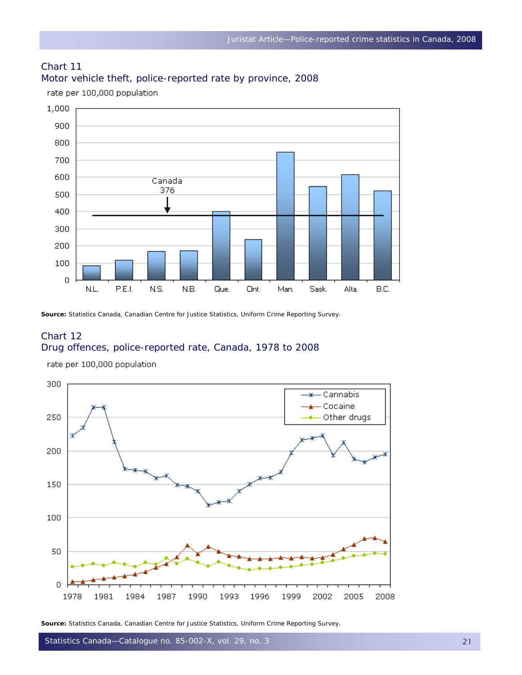#### Chart 11 Motor vehicle theft, police-reported rate by province, 2008



rate per 100,000 population

**Source:** Statistics Canada, Canadian Centre for Justice Statistics, Uniform Crime Reporting Survey.

#### Chart 12 Drug offences, police-reported rate, Canada, 1978 to 2008



**Source:** Statistics Canada, Canadian Centre for Justice Statistics, Uniform Crime Reporting Survey.

Statistics Canada—Catalogue no. 85-002-X, vol. 29, no. 3 21 22 22 22 22 22 22 23 24 25 26 27 27 27 27 27 27 27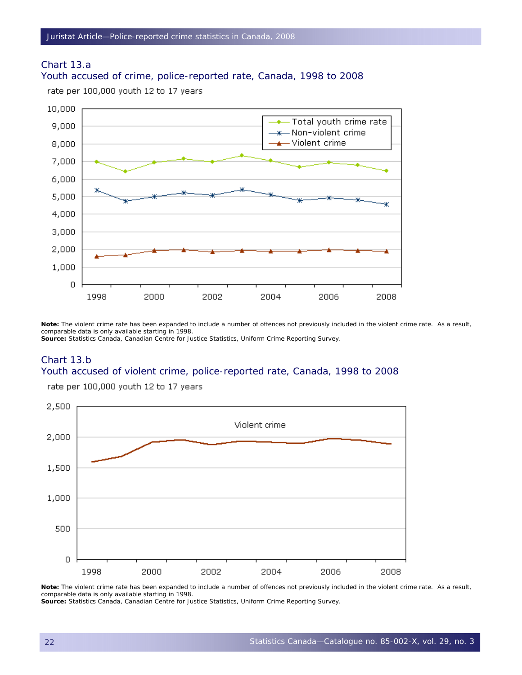Chart 13.a



## Youth accused of crime, police-reported rate, Canada, 1998 to 2008

**Note:** The violent crime rate has been expanded to include a number of offences not previously included in the violent crime rate. As a result, comparable data is only available starting in 1998. **Source:** Statistics Canada, Canadian Centre for Justice Statistics, Uniform Crime Reporting Survey.

#### Chart 13.b Youth accused of violent crime, police-reported rate, Canada, 1998 to 2008



rate per 100,000 youth 12 to 17 years

**Note:** The violent crime rate has been expanded to include a number of offences not previously included in the violent crime rate. As a result, comparable data is only available starting in 1998.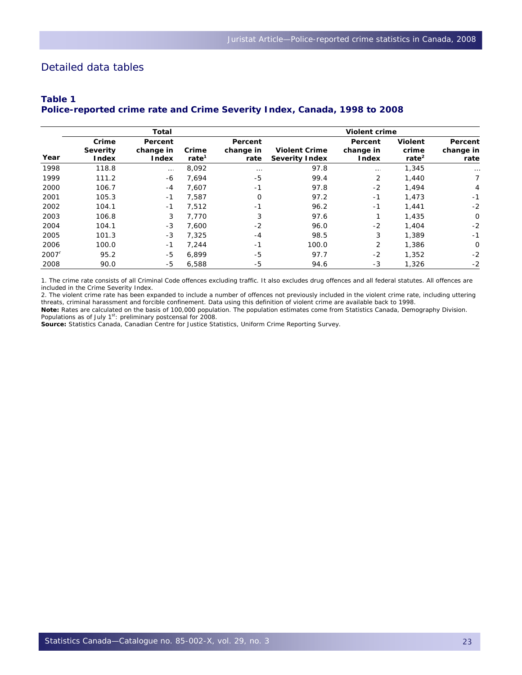#### Detailed data tables

#### **Table 1 Police-reported crime rate and Crime Severity Index, Canada, 1998 to 2008**

|                   |                                          | Total                         |                            |                              | Violent crime                                 |                                      |                                     |                              |  |  |  |
|-------------------|------------------------------------------|-------------------------------|----------------------------|------------------------------|-----------------------------------------------|--------------------------------------|-------------------------------------|------------------------------|--|--|--|
| Year              | Crime<br><b>Severity</b><br><b>Index</b> | Percent<br>change in<br>Index | Crime<br>rate <sup>1</sup> | Percent<br>change in<br>rate | <b>Violent Crime</b><br><b>Severity Index</b> | Percent<br>change in<br><b>Index</b> | <b>Violent</b><br>crime<br>rate $2$ | Percent<br>change in<br>rate |  |  |  |
| 1998              | 118.8                                    | $\cdots$                      | 8,092                      | $\cdots$                     | 97.8                                          | $\cdots$                             | 1,345                               | $\cdots$                     |  |  |  |
| 1999              | 111.2                                    | -6                            | 7.694                      | -5                           | 99.4                                          | 2                                    | 1.440                               | 7                            |  |  |  |
| 2000              | 106.7                                    | $-4$                          | 7.607                      | $-1$                         | 97.8                                          | $-2$                                 | 1,494                               | 4                            |  |  |  |
| 2001              | 105.3                                    | $-1$                          | 7.587                      | $\Omega$                     | 97.2                                          | $-1$                                 | 1,473                               | $-1$                         |  |  |  |
| 2002              | 104.1                                    | $-1$                          | 7.512                      | $-1$                         | 96.2                                          | $-1$                                 | 1,441                               | $-2$                         |  |  |  |
| 2003              | 106.8                                    | 3                             | 7.770                      | 3                            | 97.6                                          |                                      | 1.435                               | $\mathbf 0$                  |  |  |  |
| 2004              | 104.1                                    | $-3$                          | 7,600                      | $-2$                         | 96.0                                          | $-2$                                 | 1.404                               | $-2$                         |  |  |  |
| 2005              | 101.3                                    | $-3$                          | 7.325                      | $-4$                         | 98.5                                          | 3                                    | 1,389                               | $-1$                         |  |  |  |
| 2006              | 100.0                                    | $-1$                          | 7.244                      | $-1$                         | 100.0                                         | $\overline{2}$                       | 1.386                               | 0                            |  |  |  |
| 2007 <sup>r</sup> | 95.2                                     | -5                            | 6.899                      | $-5$                         | 97.7                                          | $-2$                                 | 1,352                               | $-2$                         |  |  |  |
| 2008              | 90.0                                     | -5                            | 6,588                      | -5                           | 94.6                                          | $-3$                                 | 1,326                               | $-2$                         |  |  |  |

1. The crime rate consists of all *Criminal Code* offences excluding traffic. It also excludes drug offences and all federal statutes. All offences are included in the Crime Severity Index.

2. The violent crime rate has been expanded to include a number of offences not previously included in the violent crime rate, including uttering threats, criminal harassment and forcible confinement. Data using this definition of violent crime are available back to 1998.

**Note:** Rates are calculated on the basis of 100,000 population. The population estimates come from Statistics Canada, Demography Division. Populations as of July 1<sup>st</sup>: preliminary postcensal for 2008.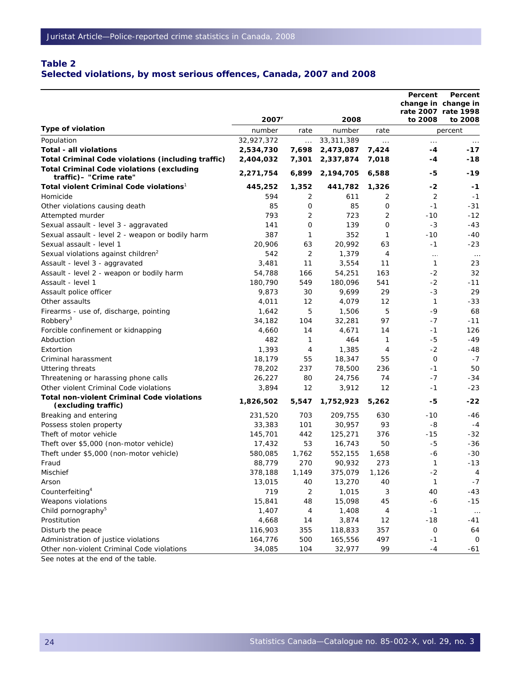#### **Table 2 Selected violations, by most serious offences, Canada, 2007 and 2008**

|                                                                     |                   |              |            |              | Percent     | Percent<br>change in change in<br>rate 2007 rate 1998 |
|---------------------------------------------------------------------|-------------------|--------------|------------|--------------|-------------|-------------------------------------------------------|
| Type of violation                                                   | 2007 <sup>r</sup> |              | 2008       |              | to 2008     | to 2008                                               |
|                                                                     | number            | rate         | number     | rate         |             | percent                                               |
| Population                                                          | 32,927,372        | $\cdots$     | 33,311,389 | $\cdots$     | $\cdots$    | $\cdots$                                              |
| <b>Total - all violations</b>                                       | 2,534,730         | 7,698        | 2,473,087  | 7,424        | -4          | $-17$                                                 |
| Total Criminal Code violations (including traffic)                  | 2,404,032         | 7,301        | 2,337,874  | 7,018        | -4          | -18                                                   |
| Total Criminal Code violations (excluding<br>traffic)- "Crime rate" | 2,271,754         | 6,899        | 2,194,705  | 6,588        | -5          | $-19$                                                 |
| Total violent Criminal Code violations <sup>1</sup>                 | 445,252           | 1,352        | 441,782    | 1,326        | -2          | -1                                                    |
| Homicide                                                            | 594               | 2            | 611        | 2            | 2           | $-1$                                                  |
| Other violations causing death                                      | 85                | 0            | 85         | 0            | $-1$        | $-31$                                                 |
| Attempted murder                                                    | 793               | 2            | 723        | 2            | $-10$       | $-12$                                                 |
| Sexual assault - level 3 - aggravated                               | 141               | O            | 139        | 0            | $-3$        | $-43$                                                 |
| Sexual assault - level 2 - weapon or bodily harm                    | 387               | $\mathbf{1}$ | 352        | 1            | $-10$       | $-40$                                                 |
| Sexual assault - level 1                                            | 20,906            | 63           | 20,992     | 63           | -1          | $-23$                                                 |
| Sexual violations against children <sup>2</sup>                     | 542               | 2            | 1,379      | 4            | $\ldots$    | $\ldots$                                              |
| Assault - level 3 - aggravated                                      | 3,481             | 11           | 3,554      | 11           | 1           | 23                                                    |
| Assault - level 2 - weapon or bodily harm                           | 54,788            | 166          | 54,251     | 163          | $-2$        | 32                                                    |
| Assault - level 1                                                   | 180,790           | 549          | 180,096    | 541          | $-2$        | $-11$                                                 |
| Assault police officer                                              | 9,873             | 30           | 9,699      | 29           | $-3$        | 29                                                    |
| Other assaults                                                      | 4,011             | 12           | 4,079      | 12           | 1           | $-33$                                                 |
| Firearms - use of, discharge, pointing                              | 1,642             | 5            | 1,506      | 5            | -9          | 68                                                    |
| Robberv <sup>3</sup>                                                | 34,182            | 104          | 32,281     | 97           | -7          | $-11$                                                 |
| Forcible confinement or kidnapping                                  | 4,660             | 14           | 4,671      | 14           | -1          | 126                                                   |
| Abduction                                                           | 482               | $\mathbf{1}$ | 464        | $\mathbf{1}$ | -5          | $-49$                                                 |
| Extortion                                                           | 1,393             | 4            | 1,385      | 4            | $-2$        | $-48$                                                 |
| Criminal harassment                                                 | 18,179            | 55           | 18,347     | 55           | $\mathbf 0$ | $-7$                                                  |
| Uttering threats                                                    | 78,202            | 237          | 78,500     | 236          | $-1$        | 50                                                    |
| Threatening or harassing phone calls                                | 26,227            | 80           | 24,756     | 74           | $-7$        | $-34$                                                 |
| Other violent Criminal Code violations                              | 3,894             | 12           | 3,912      | 12           | -1          | $-23$                                                 |
| Total non-violent Criminal Code violations                          | 1,826,502         | 5,547        | 1,752,923  | 5,262        | -5          | -22                                                   |
| (excluding traffic)                                                 |                   |              |            |              |             |                                                       |
| Breaking and entering                                               | 231,520           | 703          | 209,755    | 630          | -10         | -46                                                   |
| Possess stolen property                                             | 33,383            | 101          | 30,957     | 93           | -8          | $-4$                                                  |
| Theft of motor vehicle                                              | 145,701           | 442          | 125,271    | 376          | -15         | $-32$                                                 |
| Theft over \$5,000 (non-motor vehicle)                              | 17,432            | 53           | 16,743     | 50           | -5          | $-36$                                                 |
| Theft under \$5,000 (non-motor vehicle)                             | 580,085           | 1,762        | 552,155    | 1,658        | -6          | $-30$                                                 |
| Fraud                                                               | 88,779            | 270          | 90,932     | 273          | 1           | $-13$                                                 |
| Mischief                                                            | 378,188           | 1,149        | 375,079    | 1,126        | $-2$        | 4                                                     |
| Arson                                                               | 13,015            | 40           | 13,270     | 40           | 1           | $-7$                                                  |
| Counterfeiting <sup>4</sup>                                         | 719               | 2            | 1,015      | 3            | 40          | $-43$                                                 |
| Weapons violations                                                  | 15,841            | 48           | 15,098     | 45           | -6          | $-15$                                                 |
| Child pornography <sup>5</sup>                                      | 1,407             | 4            | 1,408      | 4            | $-1$        | $\ldots$                                              |
| Prostitution                                                        | 4,668             | 14           | 3,874      | 12           | $-18$       | $-41$                                                 |
| Disturb the peace                                                   | 116,903           | 355          | 118,833    | 357          | 0           | 64                                                    |
| Administration of justice violations                                | 164,776           | 500          | 165,556    | 497          | $-1$        | 0                                                     |
| Other non-violent Criminal Code violations                          | 34,085            | 104          | 32,977     | 99           | $-4$        | $-61$                                                 |
| See notes at the end of the table.                                  |                   |              |            |              |             |                                                       |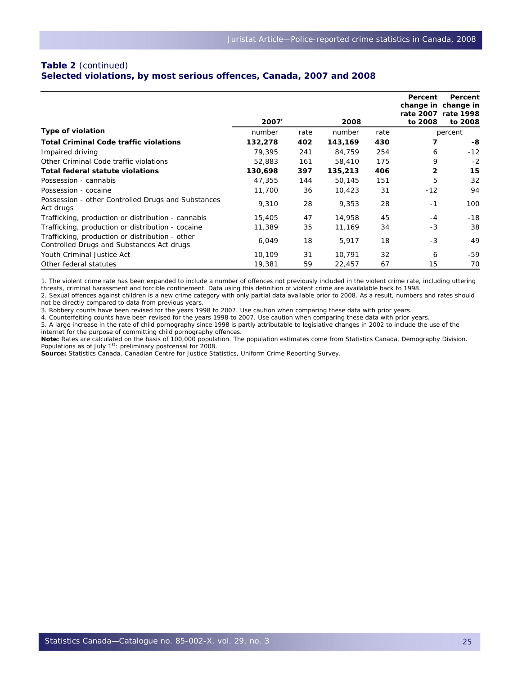### **Table 2** (continued)

#### **Selected violations, by most serious offences, Canada, 2007 and 2008**

|                                                                                              |         |      |         |      | Percent<br>rate 2007 | Percent<br>change in change in<br>rate 1998 |
|----------------------------------------------------------------------------------------------|---------|------|---------|------|----------------------|---------------------------------------------|
|                                                                                              | 2007    |      | 2008    |      | to 2008              | to 2008                                     |
| Type of violation                                                                            | number  | rate | number  | rate |                      | percent                                     |
| <b>Total Criminal Code traffic violations</b>                                                | 132,278 | 402  | 143,169 | 430  |                      | -8                                          |
| Impaired driving                                                                             | 79,395  | 241  | 84,759  | 254  | 6                    | $-12$                                       |
| Other <i>Criminal Code</i> traffic violations                                                | 52,883  | 161  | 58,410  | 175  | 9                    | $-2$                                        |
| <b>Total federal statute violations</b>                                                      | 130,698 | 397  | 135,213 | 406  | 2                    | 15                                          |
| Possession - cannabis                                                                        | 47,355  | 144  | 50,145  | 151  | 5                    | 32                                          |
| Possession - cocaine                                                                         | 11,700  | 36   | 10,423  | 31   | $-12$                | 94                                          |
| Possession - other Controlled Drugs and Substances<br>Act drugs                              | 9,310   | 28   | 9,353   | 28   | $-1$                 | 100                                         |
| Trafficking, production or distribution - cannabis                                           | 15,405  | 47   | 14,958  | 45   | $-4$                 | $-18$                                       |
| Trafficking, production or distribution - cocaine                                            | 11,389  | 35   | 11,169  | 34   | $-3$                 | 38                                          |
| Trafficking, production or distribution - other<br>Controlled Drugs and Substances Act drugs | 6,049   | 18   | 5,917   | 18   | $-3$                 | 49                                          |
| Youth Criminal Justice Act                                                                   | 10,109  | 31   | 10,791  | 32   | 6                    | -59                                         |
| Other federal statutes                                                                       | 19,381  | 59   | 22,457  | 67   | 15                   | 70                                          |

1. The violent crime rate has been expanded to include a number of offences not previously included in the violent crime rate, including uttering threats, criminal harassment and forcible confinement. Data using this definition of violent crime are availalable back to 1998.

2. Sexual offences against children is a new crime category with only partial data available prior to 2008. As a result, numbers and rates should not be directly compared to data from previous years.

3. Robbery counts have been revised for the years 1998 to 2007. Use caution when comparing these data with prior years.

4. Counterfeiting counts have been revised for the years 1998 to 2007. Use caution when comparing these data with prior years.

5. A large increase in the rate of child pornography since 1998 is partly attributable to legislative changes in 2002 to include the use of the internet for the purpose of committing child pornography offences.

**Note:** Rates are calculated on the basis of 100,000 population. The population estimates come from Statistics Canada, Demography Division. Populations as of July 1<sup>st</sup>: preliminary postcensal for 2008.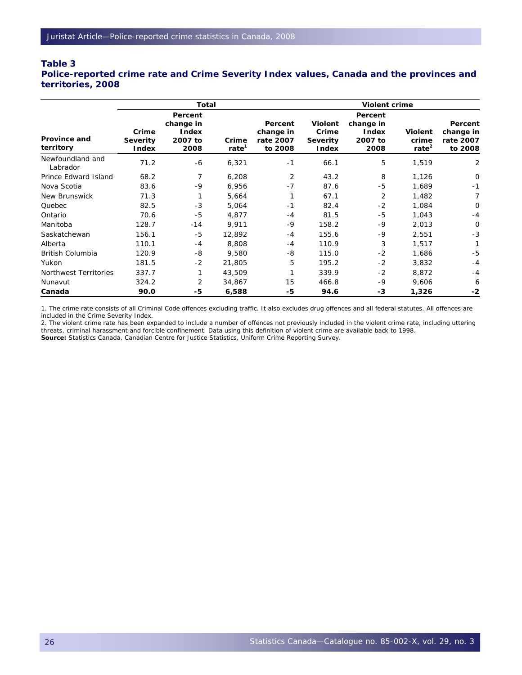#### **Table 3 Police-reported crime rate and Crime Severity Index values, Canada and the provinces and territories, 2008**

|                              |                                   | Total                                            |                            |                                              |                                              | Violent crime                                           |                                     |                                              |  |  |  |
|------------------------------|-----------------------------------|--------------------------------------------------|----------------------------|----------------------------------------------|----------------------------------------------|---------------------------------------------------------|-------------------------------------|----------------------------------------------|--|--|--|
| Province and<br>territory    | Crime<br><b>Severity</b><br>Index | Percent<br>change in<br>Index<br>2007 to<br>2008 | Crime<br>rate <sup>1</sup> | Percent<br>change in<br>rate 2007<br>to 2008 | <b>Violent</b><br>Crime<br>Severity<br>Index | Percent<br>change in<br><b>Index</b><br>2007 to<br>2008 | <b>Violent</b><br>crime<br>rate $2$ | Percent<br>change in<br>rate 2007<br>to 2008 |  |  |  |
| Newfoundland and<br>Labrador | 71.2                              | -6                                               | 6,321                      | $-1$                                         | 66.1                                         | 5                                                       | 1,519                               | 2                                            |  |  |  |
| Prince Edward Island         | 68.2                              | 7                                                | 6,208                      | 2                                            | 43.2                                         | 8                                                       | 1,126                               | 0                                            |  |  |  |
| Nova Scotia                  | 83.6                              | -9                                               | 6,956                      | $-7$                                         | 87.6                                         | $-5$                                                    | 1,689                               | -1                                           |  |  |  |
| New Brunswick                | 71.3                              | 1                                                | 5,664                      | 1                                            | 67.1                                         | $\overline{2}$                                          | 1,482                               | 7                                            |  |  |  |
| Quebec                       | 82.5                              | $-3$                                             | 5,064                      | $-1$                                         | 82.4                                         | $-2$                                                    | 1,084                               | O                                            |  |  |  |
| Ontario                      | 70.6                              | -5                                               | 4,877                      | $-4$                                         | 81.5                                         | -5                                                      | 1,043                               | $-4$                                         |  |  |  |
| Manitoba                     | 128.7                             | $-14$                                            | 9,911                      | $-9$                                         | 158.2                                        | $-9$                                                    | 2,013                               | 0                                            |  |  |  |
| Saskatchewan                 | 156.1                             | -5                                               | 12,892                     | $-4$                                         | 155.6                                        | $-9$                                                    | 2,551                               | -3                                           |  |  |  |
| Alberta                      | 110.1                             | -4                                               | 8,808                      | $-4$                                         | 110.9                                        | 3                                                       | 1,517                               | 1                                            |  |  |  |
| <b>British Columbia</b>      | 120.9                             | -8                                               | 9,580                      | -8                                           | 115.0                                        | $-2$                                                    | 1,686                               | -5                                           |  |  |  |
| Yukon                        | 181.5                             | $-2$                                             | 21,805                     | 5                                            | 195.2                                        | $-2$                                                    | 3,832                               | $-4$                                         |  |  |  |
| Northwest Territories        | 337.7                             |                                                  | 43,509                     |                                              | 339.9                                        | $-2$                                                    | 8,872                               | $-4$                                         |  |  |  |
| Nunavut                      | 324.2                             | $\overline{2}$                                   | 34,867                     | 15                                           | 466.8                                        | $-9$                                                    | 9,606                               | 6                                            |  |  |  |
| Canada                       | 90.0                              | -5                                               | 6,588                      | -5                                           | 94.6                                         | -3                                                      | 1,326                               | $-2$                                         |  |  |  |

1. The crime rate consists of all *Criminal Code* offences excluding traffic. It also excludes drug offences and all federal statutes. All offences are included in the Crime Severity Index.

2. The violent crime rate has been expanded to include a number of offences not previously included in the violent crime rate, including uttering threats, criminal harassment and forcible confinement. Data using this definition of violent crime are available back to 1998.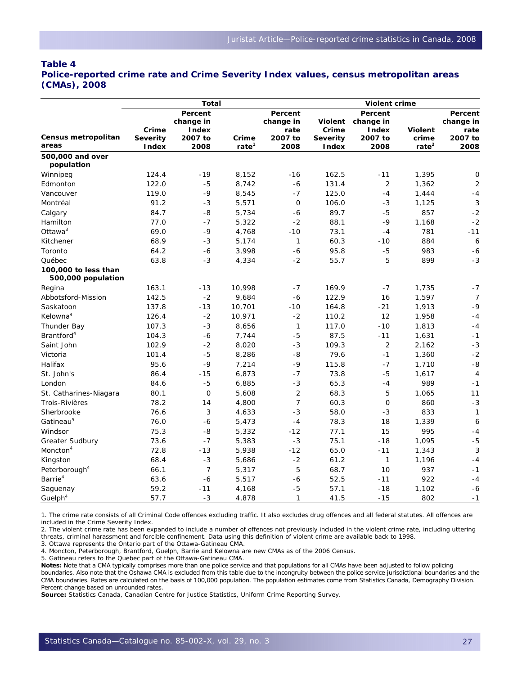#### **Table 4 Police-reported crime rate and Crime Severity Index values, census metropolitan areas (CMAs), 2008**

|                                            |                                   | <b>Total</b>                                            |                            |                                                 |                                                            | Violent crime                                    |                                     |                                                 |  |  |  |
|--------------------------------------------|-----------------------------------|---------------------------------------------------------|----------------------------|-------------------------------------------------|------------------------------------------------------------|--------------------------------------------------|-------------------------------------|-------------------------------------------------|--|--|--|
| Census metropolitan<br>areas               | Crime<br><b>Severity</b><br>Index | Percent<br>change in<br><b>Index</b><br>2007 to<br>2008 | Crime<br>rate <sup>1</sup> | Percent<br>change in<br>rate<br>2007 to<br>2008 | <b>Violent</b><br>Crime<br><b>Severity</b><br><b>Index</b> | Percent<br>change in<br>Index<br>2007 to<br>2008 | <b>Violent</b><br>crime<br>rate $2$ | Percent<br>change in<br>rate<br>2007 to<br>2008 |  |  |  |
| 500,000 and over<br>population             |                                   |                                                         |                            |                                                 |                                                            |                                                  |                                     |                                                 |  |  |  |
| Winnipeg                                   | 124.4                             | $-19$                                                   | 8,152                      | $-16$                                           | 162.5                                                      | $-11$                                            | 1,395                               | 0                                               |  |  |  |
| Edmonton                                   | 122.0                             | $-5$                                                    | 8,742                      | $-6$                                            | 131.4                                                      | $\overline{2}$                                   | 1,362                               | $\overline{2}$                                  |  |  |  |
| Vancouver                                  | 119.0                             | $-9$                                                    | 8,545                      | $-7$                                            | 125.0                                                      | $-4$                                             | 1,444                               | $-4$                                            |  |  |  |
| Montréal                                   | 91.2                              | $-3$                                                    | 5,571                      | $\mathbf 0$                                     | 106.0                                                      | $-3$                                             | 1,125                               | 3                                               |  |  |  |
| Calgary                                    | 84.7                              | -8                                                      | 5,734                      | -6                                              | 89.7                                                       | -5                                               | 857                                 | $-2$                                            |  |  |  |
| Hamilton                                   | 77.0                              | $-7$                                                    | 5,322                      | $-2$                                            | 88.1                                                       | $-9$                                             | 1,168                               | $-2$                                            |  |  |  |
| Ottawa $3$                                 | 69.0                              | $-9$                                                    | 4,768                      | $-10$                                           | 73.1                                                       | $-4$                                             | 781                                 | $-11$                                           |  |  |  |
| Kitchener                                  | 68.9                              | $-3$                                                    | 5,174                      | $\mathbf{1}$                                    | 60.3                                                       | $-10$                                            | 884                                 | 6                                               |  |  |  |
| Toronto                                    | 64.2                              | -6                                                      | 3,998                      | -6                                              | 95.8                                                       | $-5$                                             | 983                                 | $-6$                                            |  |  |  |
| Québec                                     | 63.8                              | $-3$                                                    | 4,334                      | $-2$                                            | 55.7                                                       | 5                                                | 899                                 | $-3$                                            |  |  |  |
| 100,000 to less than<br>500,000 population |                                   |                                                         |                            |                                                 |                                                            |                                                  |                                     |                                                 |  |  |  |
| Regina                                     | 163.1                             | $-13$                                                   | 10,998                     | $-7$                                            | 169.9                                                      | $-7$                                             | 1,735                               | $-7$                                            |  |  |  |
| Abbotsford-Mission                         | 142.5                             | $-2$                                                    | 9,684                      | $-6$                                            | 122.9                                                      | 16                                               | 1,597                               | $\overline{7}$                                  |  |  |  |
| Saskatoon                                  | 137.8                             | $-13$                                                   | 10,701                     | $-10$                                           | 164.8                                                      | $-21$                                            | 1,913                               | $-9$                                            |  |  |  |
| Kelowna <sup>4</sup>                       | 126.4                             | $-2$                                                    | 10,971                     | $-2$                                            | 110.2                                                      | 12                                               | 1,958                               | $-4$                                            |  |  |  |
| Thunder Bay                                | 107.3                             | $-3$                                                    | 8,656                      | $\mathbf{1}$                                    | 117.0                                                      | $-10$                                            | 1,813                               | $-4$                                            |  |  |  |
| Brantford <sup>4</sup>                     | 104.3                             | -6                                                      | 7,744                      | $-5$                                            | 87.5                                                       | $-11$                                            | 1,631                               | $-1$                                            |  |  |  |
| Saint John                                 | 102.9                             | $-2$                                                    | 8,020                      | $-3$                                            | 109.3                                                      | $\overline{2}$                                   | 2,162                               | $-3$                                            |  |  |  |
| Victoria                                   | 101.4                             | $-5$                                                    | 8,286                      | -8                                              | 79.6                                                       | $-1$                                             | 1,360                               | $-2$                                            |  |  |  |
| Halifax                                    | 95.6                              | -9                                                      | 7,214                      | $-9$                                            | 115.8                                                      | $-7$                                             | 1,710                               | $-8$                                            |  |  |  |
| St. John's                                 | 86.4                              | $-15$                                                   | 6,873                      | $-7$                                            | 73.8                                                       | $-5$                                             | 1,617                               | $\overline{4}$                                  |  |  |  |
| London                                     | 84.6                              | $-5$                                                    | 6,885                      | $-3$                                            | 65.3                                                       | $-4$                                             | 989                                 | $-1$                                            |  |  |  |
| St. Catharines-Niagara                     | 80.1                              | 0                                                       | 5,608                      | $\overline{2}$                                  | 68.3                                                       | 5                                                | 1,065                               | 11                                              |  |  |  |
| Trois-Rivières                             | 78.2                              | 14                                                      | 4,800                      | $\overline{7}$                                  | 60.3                                                       | $\mathbf 0$                                      | 860                                 | $-3$                                            |  |  |  |
| Sherbrooke                                 | 76.6                              | 3                                                       | 4,633                      | $-3$                                            | 58.0                                                       | $-3$                                             | 833                                 | $\mathbf{1}$                                    |  |  |  |
| Gatineau <sup>5</sup>                      | 76.0                              | -6                                                      | 5,473                      | $-4$                                            | 78.3                                                       | 18                                               | 1,339                               | 6                                               |  |  |  |
| Windsor                                    | 75.3                              | -8                                                      | 5,332                      | $-12$                                           | 77.1                                                       | 15                                               | 995                                 | $-4$                                            |  |  |  |
| Greater Sudbury                            | 73.6                              | $-7$                                                    | 5,383                      | $-3$                                            | 75.1                                                       | $-18$                                            | 1,095                               | $-5$                                            |  |  |  |
| Moncton <sup>4</sup>                       | 72.8                              | $-13$                                                   | 5,938                      | $-12$                                           | 65.0                                                       | $-11$                                            | 1,343                               | 3                                               |  |  |  |
| Kingston                                   | 68.4                              | $-3$                                                    | 5,686                      | $-2$                                            | 61.2                                                       | $\mathbf{1}$                                     | 1,196                               | $-4$                                            |  |  |  |
| Peterborough <sup>4</sup>                  | 66.1                              | $\overline{7}$                                          | 5,317                      | 5                                               | 68.7                                                       | 10                                               | 937                                 | $-1$                                            |  |  |  |
| Barrie <sup>4</sup>                        | 63.6                              | -6                                                      | 5,517                      | -6                                              | 52.5                                                       | $-11$                                            | 922                                 | $-4$                                            |  |  |  |
| Saguenay                                   | 59.2                              | $-11$                                                   | 4,168                      | $-5$                                            | 57.1                                                       | $-18$                                            | 1,102                               | $-6$                                            |  |  |  |
| Guelph <sup>4</sup>                        | 57.7                              | $-3$                                                    | 4,878                      | $\mathbf{1}$                                    | 41.5                                                       | $-15$                                            | 802                                 | $-1$                                            |  |  |  |

1. The crime rate consists of all *Criminal Code* offences excluding traffic. It also excludes drug offences and all federal statutes. All offences are included in the Crime Severity Index.

2. The violent crime rate has been expanded to include a number of offences not previously included in the violent crime rate, including uttering threats, criminal harassment and forcible confinement. Data using this definition of violent crime are available back to 1998.

3. Ottawa represents the Ontario part of the Ottawa-Gatineau CMA.

4. Moncton, Peterborough, Brantford, Guelph, Barrie and Kelowna are new CMAs as of the 2006 Census.

5. Gatineau refers to the Quebec part of the Ottawa-Gatineau CMA.

**Notes:** Note that a CMA typically comprises more than one police service and that populations for all CMAs have been adjusted to follow policing boundaries. Also note that the Oshawa CMA is excluded from this table due to the incongruity between the police service jurisdictional boundaries and the CMA boundaries. Rates are calculated on the basis of 100,000 population. The population estimates come from Statistics Canada, Demography Division. Percent change based on unrounded rates.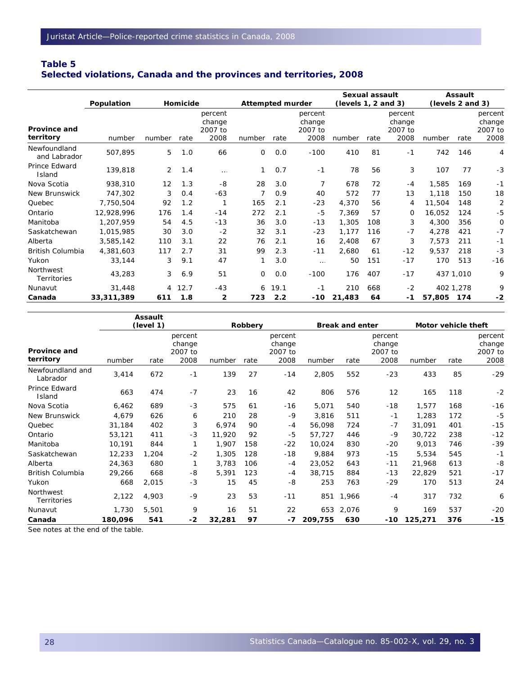#### **Table 5 Selected violations, Canada and the provinces and territories, 2008**

|                                  | Population | Homicide       |      |                                      |             | <b>Attempted murder</b> |                                      |        | Sexual assault<br>(levels $1, 2$ and $3)$ |                                      |        | <b>Assault</b><br>(levels 2 and 3) |                                      |  |
|----------------------------------|------------|----------------|------|--------------------------------------|-------------|-------------------------|--------------------------------------|--------|-------------------------------------------|--------------------------------------|--------|------------------------------------|--------------------------------------|--|
| <b>Province and</b><br>territory | number     | number         | rate | percent<br>change<br>2007 to<br>2008 | number      | rate                    | percent<br>change<br>2007 to<br>2008 | number | rate                                      | percent<br>change<br>2007 to<br>2008 | number | rate                               | percent<br>change<br>2007 to<br>2008 |  |
| Newfoundland<br>and Labrador     | 507,895    | 5              | 1.0  | 66                                   | $\Omega$    | 0.0                     | $-100$                               | 410    | 81                                        | $-1$                                 | 742    | 146                                | 4                                    |  |
| Prince Edward<br>Island          | 139,818    | $\overline{2}$ | 1.4  | $\cdots$                             | 1           | 0.7                     | $-1$                                 | 78     | 56                                        | 3                                    | 107    | 77                                 | $-3$                                 |  |
| Nova Scotia                      | 938,310    | 12             | 1.3  | -8                                   | 28          | 3.0                     | 7                                    | 678    | 72                                        | $-4$                                 | 1,585  | 169                                | $-1$                                 |  |
| New Brunswick                    | 747,302    | 3              | 0.4  | $-63$                                | 7           | 0.9                     | 40                                   | 572    | 77                                        | 13                                   | 1,118  | 150                                | 18                                   |  |
| Quebec                           | 7,750,504  | 92             | 1.2  |                                      | 165         | 2.1                     | $-23$                                | 4,370  | 56                                        | 4                                    | 11,504 | 148                                | $\overline{2}$                       |  |
| Ontario                          | 12,928,996 | 176            | 1.4  | $-14$                                | 272         | 2.1                     | $-5$                                 | 7,369  | 57                                        | 0                                    | 16,052 | 124                                | $-5$                                 |  |
| Manitoba                         | 1,207,959  | 54             | 4.5  | $-13$                                | 36          | 3.0                     | $-13$                                | 1,305  | 108                                       | 3                                    | 4,300  | 356                                | 0                                    |  |
| Saskatchewan                     | 1,015,985  | 30             | 3.0  | $-2$                                 | 32          | 3.1                     | $-23$                                | 1,177  | 116                                       | $-7$                                 | 4,278  | 421                                | $-7$                                 |  |
| Alberta                          | 3,585,142  | 110            | 3.1  | 22                                   | 76          | 2.1                     | 16                                   | 2,408  | 67                                        | 3                                    | 7,573  | 211                                | $-1$                                 |  |
| <b>British Columbia</b>          | 4,381,603  | 117            | 2.7  | 31                                   | 99          | 2.3                     | $-11$                                | 2.680  | 61                                        | $-12$                                | 9,537  | 218                                | $-3$                                 |  |
| Yukon                            | 33,144     | 3              | 9.1  | 47                                   |             | 3.0                     | $\cdots$                             | 50     | 151                                       | $-17$                                | 170    | 513                                | $-16$                                |  |
| Northwest<br>Territories         | 43,283     | 3              | 6.9  | 51                                   | $\mathbf 0$ | 0.0                     | $-100$                               | 176    | 407                                       | $-17$                                |        | 437 1,010                          | 9                                    |  |
| Nunavut                          | 31,448     | 4              | 12.7 | $-43$                                | 6           | 19.1                    | $-1$                                 | 210    | 668                                       | $-2$                                 |        | 402 1,278                          | 9                                    |  |
| Canada                           | 33,311,389 | 611            | 1.8  | $\overline{2}$                       | 723         | 2.2                     | -10                                  | 21,483 | 64                                        | -1                                   | 57,805 | 174                                | $-2$                                 |  |

|                                 |         | <b>Assault</b> |                                      |        |         |                                      |         |                        |                                      |         |                     |                                      |
|---------------------------------|---------|----------------|--------------------------------------|--------|---------|--------------------------------------|---------|------------------------|--------------------------------------|---------|---------------------|--------------------------------------|
|                                 |         | (level 1)      |                                      |        | Robbery |                                      |         | <b>Break and enter</b> |                                      |         | Motor vehicle theft |                                      |
| Province and<br>territory       | number  | rate           | percent<br>change<br>2007 to<br>2008 | number | rate    | percent<br>change<br>2007 to<br>2008 | number  | rate                   | percent<br>change<br>2007 to<br>2008 | number  | rate                | percent<br>change<br>2007 to<br>2008 |
| Newfoundland and<br>Labrador    | 3,414   | 672            | $-1$                                 | 139    | 27      | $-14$                                | 2,805   | 552                    | $-23$                                | 433     | 85                  | $-29$                                |
| Prince Edward<br>Island         | 663     | 474            | $-7$                                 | 23     | 16      | 42                                   | 806     | 576                    | 12                                   | 165     | 118                 | $-2$                                 |
| Nova Scotia                     | 6,462   | 689            | $-3$                                 | 575    | 61      | -16                                  | 5,071   | 540                    | $-18$                                | 1,577   | 168                 | $-16$                                |
| New Brunswick                   | 4,679   | 626            | 6                                    | 210    | 28      | $-9$                                 | 3,816   | 511                    | $-1$                                 | 1,283   | 172                 | $-5$                                 |
| Quebec                          | 31,184  | 402            | 3                                    | 6,974  | 90      | $-4$                                 | 56,098  | 724                    | $-7$                                 | 31,091  | 401                 | $-15$                                |
| Ontario                         | 53,121  | 411            | $-3$                                 | 11,920 | 92      | -5                                   | 57,727  | 446                    | $-9$                                 | 30,722  | 238                 | $-12$                                |
| Manitoba                        | 10,191  | 844            | 1                                    | 1,907  | 158     | $-22$                                | 10.024  | 830                    | $-20$                                | 9,013   | 746                 | $-39$                                |
| Saskatchewan                    | 12,233  | 1,204          | $-2$                                 | 1,305  | 128     | $-18$                                | 9,884   | 973                    | $-15$                                | 5,534   | 545                 | $-1$                                 |
| Alberta                         | 24,363  | 680            | 1                                    | 3,783  | 106     | $-4$                                 | 23,052  | 643                    | $-11$                                | 21,968  | 613                 | $-8$                                 |
| <b>British Columbia</b>         | 29,266  | 668            | -8                                   | 5,391  | 123     | $-4$                                 | 38,715  | 884                    | $-13$                                | 22,829  | 521                 | $-17$                                |
| Yukon                           | 668     | 2,015          | $-3$                                 | 15     | 45      | -8                                   | 253     | 763                    | $-29$                                | 170     | 513                 | 24                                   |
| Northwest<br><b>Territories</b> | 2,122   | 4,903          | $-9$                                 | 23     | 53      | $-11$                                | 851     | 1,966                  | $-4$                                 | 317     | 732                 | 6                                    |
| Nunavut                         | 1,730   | 5,501          | 9                                    | 16     | 51      | 22                                   | 653     | 2,076                  | 9                                    | 169     | 537                 | $-20$                                |
| Canada                          | 180,096 | 541            | $-2$                                 | 32,281 | 97      | -7                                   | 209,755 | 630                    | -10                                  | 125,271 | 376                 | $-15$                                |

See notes at the end of the table.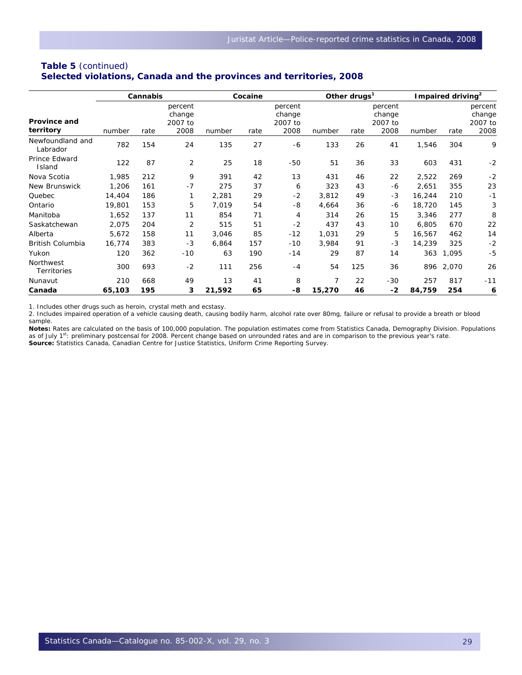#### **Table 5** (continued) **Selected violations, Canada and the provinces and territories, 2008**

|                                  | Cannabis |      |                                      |        | Cocaine |                                      |        | Other drugs <sup>1</sup> |                                      | Impaired driving <sup>2</sup> |       |                                      |
|----------------------------------|----------|------|--------------------------------------|--------|---------|--------------------------------------|--------|--------------------------|--------------------------------------|-------------------------------|-------|--------------------------------------|
| <b>Province and</b><br>territory | number   | rate | percent<br>change<br>2007 to<br>2008 | number | rate    | percent<br>change<br>2007 to<br>2008 | number | rate                     | percent<br>change<br>2007 to<br>2008 | number                        | rate  | percent<br>change<br>2007 to<br>2008 |
| Newfoundland and<br>Labrador     | 782      | 154  | 24                                   | 135    | 27      | -6                                   | 133    | 26                       | 41                                   | 1,546                         | 304   | 9                                    |
| Prince Edward<br>Island          | 122      | 87   | 2                                    | 25     | 18      | $-50$                                | 51     | 36                       | 33                                   | 603                           | 431   | $-2$                                 |
| Nova Scotia                      | 1,985    | 212  | 9                                    | 391    | 42      | 13                                   | 431    | 46                       | 22                                   | 2,522                         | 269   | $-2$                                 |
| New Brunswick                    | 1,206    | 161  | $-7$                                 | 275    | 37      | 6                                    | 323    | 43                       | -6                                   | 2,651                         | 355   | 23                                   |
| Quebec                           | 14,404   | 186  |                                      | 2,281  | 29      | $-2$                                 | 3,812  | 49                       | $-3$                                 | 16,244                        | 210   | $-1$                                 |
| Ontario                          | 19,801   | 153  | 5                                    | 7,019  | 54      | -8                                   | 4,664  | 36                       | -6                                   | 18,720                        | 145   | 3                                    |
| Manitoba                         | 1,652    | 137  | 11                                   | 854    | 71      | 4                                    | 314    | 26                       | 15                                   | 3,346                         | 277   | 8                                    |
| Saskatchewan                     | 2,075    | 204  | 2                                    | 515    | 51      | $-2$                                 | 437    | 43                       | 10                                   | 6,805                         | 670   | 22                                   |
| Alberta                          | 5,672    | 158  | 11                                   | 3,046  | 85      | $-12$                                | 1,031  | 29                       | 5                                    | 16,567                        | 462   | 14                                   |
| British Columbia                 | 16,774   | 383  | $-3$                                 | 6,864  | 157     | $-10$                                | 3,984  | 91                       | $-3$                                 | 14,239                        | 325   | $-2$                                 |
| Yukon                            | 120      | 362  | $-10$                                | 63     | 190     | $-14$                                | 29     | 87                       | 14                                   | 363                           | 1,095 | $-5$                                 |
| Northwest<br>Territories         | 300      | 693  | $-2$                                 | 111    | 256     | $-4$                                 | 54     | 125                      | 36                                   | 896                           | 2,070 | 26                                   |
| Nunavut                          | 210      | 668  | 49                                   | 13     | 41      | 8                                    | 7      | 22                       | $-30$                                | 257                           | 817   | $-11$                                |
| Canada                           | 65,103   | 195  | 3                                    | 21,592 | 65      | -8                                   | 15,270 | 46                       | $-2$                                 | 84,759                        | 254   | 6                                    |

1. Includes other drugs such as heroin, crystal meth and ecstasy.

2. Includes impaired operation of a vehicle causing death, causing bodily harm, alcohol rate over 80mg, failure or refusal to provide a breath or blood sample.

**Notes:** Rates are calculated on the basis of 100,000 population. The population estimates come from Statistics Canada, Demography Division. Populations as of July 1st: preliminary postcensal for 2008. Percent change based on unrounded rates and are in comparison to the previous year's rate. **Source:** Statistics Canada, Canadian Centre for Justice Statistics, Uniform Crime Reporting Survey.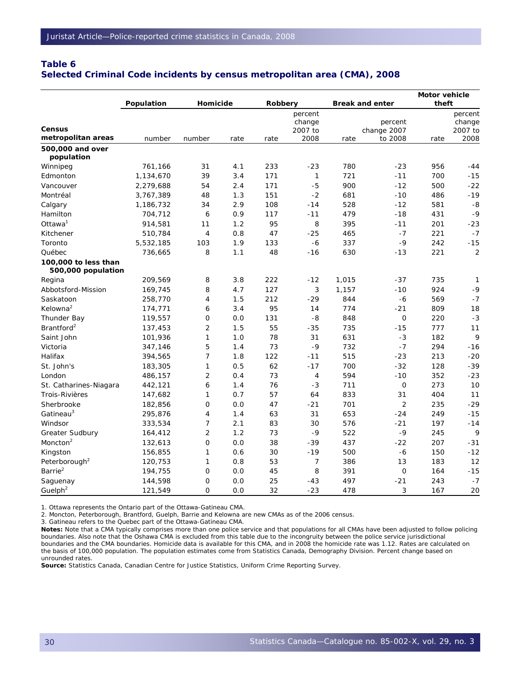#### **Table 6 Selected** *Criminal Code* **incidents by census metropolitan area (CMA), 2008**

|                                            | Population | Homicide       |      | <b>Robbery</b> |                                      |       | <b>Break and enter</b>            | Motor vehicle<br>theft |                                      |  |
|--------------------------------------------|------------|----------------|------|----------------|--------------------------------------|-------|-----------------------------------|------------------------|--------------------------------------|--|
| <b>Census</b><br>metropolitan areas        | number     | number         | rate | rate           | percent<br>change<br>2007 to<br>2008 | rate  | percent<br>change 2007<br>to 2008 | rate                   | percent<br>change<br>2007 to<br>2008 |  |
| 500,000 and over<br>population             |            |                |      |                |                                      |       |                                   |                        |                                      |  |
| Winnipeg                                   | 761,166    | 31             | 4.1  | 233            | $-23$                                | 780   | $-23$                             | 956                    | $-44$                                |  |
| Edmonton                                   | 1,134,670  | 39             | 3.4  | 171            | 1                                    | 721   | $-11$                             | 700                    | $-15$                                |  |
| Vancouver                                  | 2,279,688  | 54             | 2.4  | 171            | $-5$                                 | 900   | $-12$                             | 500                    | $-22$                                |  |
| Montréal                                   | 3,767,389  | 48             | 1.3  | 151            | $-2$                                 | 681   | $-10$                             | 486                    | $-19$                                |  |
| Calgary                                    | 1,186,732  | 34             | 2.9  | 108            | $-14$                                | 528   | $-12$                             | 581                    | $-8$                                 |  |
| Hamilton                                   | 704,712    | 6              | 0.9  | 117            | $-11$                                | 479   | $-18$                             | 431                    | $-9$                                 |  |
| Ottawa <sup>1</sup>                        | 914,581    | 11             | 1.2  | 95             | 8                                    | 395   | $-11$                             | 201                    | $-23$                                |  |
| Kitchener                                  | 510,784    | 4              | 0.8  | 47             | $-25$                                | 465   | $-7$                              | 221                    | $-7$                                 |  |
| Toronto                                    | 5,532,185  | 103            | 1.9  | 133            | -6                                   | 337   | $-9$                              | 242                    | $-15$                                |  |
| Québec                                     | 736,665    | 8              | 1.1  | 48             | $-16$                                | 630   | $-13$                             | 221                    | $\overline{2}$                       |  |
| 100,000 to less than<br>500,000 population |            |                |      |                |                                      |       |                                   |                        |                                      |  |
| Regina                                     | 209,569    | 8              | 3.8  | 222            | $-12$                                | 1,015 | $-37$                             | 735                    | $\mathbf{1}$                         |  |
| Abbotsford-Mission                         | 169,745    | 8              | 4.7  | 127            | 3                                    | 1,157 | $-10$                             | 924                    | $-9$                                 |  |
| Saskatoon                                  | 258,770    | 4              | 1.5  | 212            | $-29$                                | 844   | $-6$                              | 569                    | $-7$                                 |  |
| Kelowna <sup>2</sup>                       | 174,771    | 6              | 3.4  | 95             | 14                                   | 774   | $-21$                             | 809                    | 18                                   |  |
| Thunder Bay                                | 119,557    | 0              | 0.0  | 131            | -8                                   | 848   | 0                                 | 220                    | $-3$                                 |  |
| Brantford <sup>2</sup>                     | 137,453    | $\overline{2}$ | 1.5  | 55             | $-35$                                | 735   | $-15$                             | 777                    | 11                                   |  |
| Saint John                                 | 101,936    | 1              | 1.0  | 78             | 31                                   | 631   | $-3$                              | 182                    | 9                                    |  |
| Victoria                                   | 347,146    | 5              | 1.4  | 73             | $-9$                                 | 732   | $-7$                              | 294                    | $-16$                                |  |
| Halifax                                    | 394,565    | 7              | 1.8  | 122            | $-11$                                | 515   | $-23$                             | 213                    | $-20$                                |  |
| St. John's                                 | 183,305    | 1              | 0.5  | 62             | $-17$                                | 700   | $-32$                             | 128                    | $-39$                                |  |
| London                                     | 486,157    | 2              | 0.4  | 73             | 4                                    | 594   | $-10$                             | 352                    | $-23$                                |  |
| St. Catharines-Niagara                     | 442,121    | 6              | 1.4  | 76             | -3                                   | 711   | $\mathbf 0$                       | 273                    | 10                                   |  |
| Trois-Rivières                             | 147,682    | 1              | 0.7  | 57             | 64                                   | 833   | 31                                | 404                    | 11                                   |  |
| Sherbrooke                                 | 182,856    | 0              | 0.0  | 47             | $-21$                                | 701   | $\overline{2}$                    | 235                    | $-29$                                |  |
| Gatineau <sup>3</sup>                      | 295,876    | 4              | 1.4  | 63             | 31                                   | 653   | $-24$                             | 249                    | $-15$                                |  |
| Windsor                                    | 333,534    | 7              | 2.1  | 83             | 30                                   | 576   | $-21$                             | 197                    | $-14$                                |  |
| Greater Sudbury                            | 164,412    | 2              | 1.2  | 73             | $-9$                                 | 522   | $-9$                              | 245                    | 9                                    |  |
| Moncton <sup>2</sup>                       | 132,613    | 0              | 0.0  | 38             | $-39$                                | 437   | $-22$                             | 207                    | $-31$                                |  |
| Kingston                                   | 156,855    | 1              | 0.6  | 30             | $-19$                                | 500   | $-6$                              | 150                    | $-12$                                |  |
| Peterborough <sup>2</sup>                  | 120,753    | 1              | 0.8  | 53             | $\overline{7}$                       | 386   | 13                                | 183                    | 12                                   |  |
| Barrie <sup>2</sup>                        | 194,755    | 0              | 0.0  | 45             | 8                                    | 391   | 0                                 | 164                    | $-15$                                |  |
| Saguenay                                   | 144,598    | 0              | 0.0  | 25             | $-43$                                | 497   | $-21$                             | 243                    | $-7$                                 |  |
| Guelph <sup>2</sup>                        | 121,549    | $\mathbf 0$    | 0.0  | 32             | $-23$                                | 478   | 3                                 | 167                    | 20                                   |  |

1. Ottawa represents the Ontario part of the Ottawa-Gatineau CMA.

2. Moncton, Peterborough, Brantford, Guelph, Barrie and Kelowna are new CMAs as of the 2006 census.

3. Gatineau refers to the Quebec part of the Ottawa-Gatineau CMA.

**Notes:** Note that a CMA typically comprises more than one police service and that populations for all CMAs have been adjusted to follow policing boundaries. Also note that the Oshawa CMA is excluded from this table due to the incongruity between the police service jurisdictional boundaries and the CMA boundaries. Homicide data is available for this CMA, and in 2008 the homicide rate was 1.12. Rates are calculated on the basis of 100,000 population. The population estimates come from Statistics Canada, Demography Division. Percent change based on unrounded rates.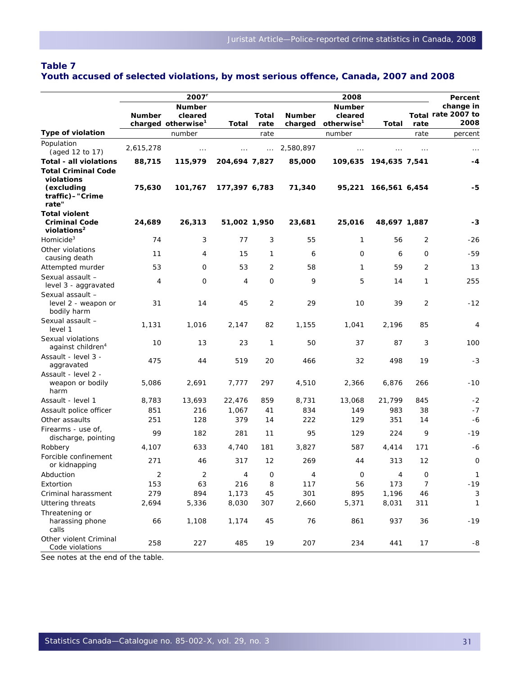#### **Table 7 Youth accused of selected violations, by most serious offence, Canada, 2007 and 2008**

| <b>Number</b><br><b>Type of violation</b><br>Population<br>2,615,278<br>(aged 12 to 17)<br><b>Total - all violations</b><br>88,715<br><b>Total Criminal Code</b><br>violations<br>(excluding<br>75,630<br>traffic)-"Crime<br>rate"<br><b>Total violent</b> | <b>Number</b><br>cleared<br>charged otherwise <sup>1</sup><br>number<br>$\cdots$<br>115,979<br>101,767 | Total<br>204,694 7,827<br>177,397 6,783 | Total<br>rate<br>rate<br>$\cdots$ | <b>Number</b><br>charged<br>2,580,897<br>85,000 | <b>Number</b><br>cleared<br>otherwise <sup>1</sup><br>number<br>109,635 | Total         | rate<br>rate<br>. | change in<br>Total rate 2007 to<br>2008<br>percent |
|------------------------------------------------------------------------------------------------------------------------------------------------------------------------------------------------------------------------------------------------------------|--------------------------------------------------------------------------------------------------------|-----------------------------------------|-----------------------------------|-------------------------------------------------|-------------------------------------------------------------------------|---------------|-------------------|----------------------------------------------------|
|                                                                                                                                                                                                                                                            |                                                                                                        |                                         |                                   |                                                 |                                                                         |               |                   |                                                    |
|                                                                                                                                                                                                                                                            |                                                                                                        |                                         |                                   |                                                 |                                                                         |               |                   |                                                    |
|                                                                                                                                                                                                                                                            |                                                                                                        |                                         |                                   |                                                 |                                                                         |               |                   |                                                    |
|                                                                                                                                                                                                                                                            |                                                                                                        |                                         |                                   |                                                 |                                                                         | 194,635 7,541 |                   | -4                                                 |
|                                                                                                                                                                                                                                                            |                                                                                                        |                                         |                                   | 71,340                                          | 95,221                                                                  | 166,561 6,454 |                   | -5                                                 |
|                                                                                                                                                                                                                                                            |                                                                                                        |                                         |                                   |                                                 |                                                                         |               |                   |                                                    |
| <b>Criminal Code</b><br>24,689<br>violations <sup>2</sup>                                                                                                                                                                                                  | 26,313                                                                                                 | 51,002 1,950                            |                                   | 23,681                                          | 25,016                                                                  | 48,697 1,887  |                   | -3                                                 |
| Homicide $3$<br>74                                                                                                                                                                                                                                         | 3                                                                                                      | 77                                      | 3                                 | 55                                              | 1                                                                       | 56            | 2                 | -26                                                |
| Other violations<br>11<br>causing death                                                                                                                                                                                                                    | 4                                                                                                      | 15                                      | 1                                 | 6                                               | 0                                                                       | 6             | 0                 | $-59$                                              |
| 53<br>Attempted murder                                                                                                                                                                                                                                     | 0                                                                                                      | 53                                      | 2                                 | 58                                              | 1                                                                       | 59            | $\overline{2}$    | 13                                                 |
| Sexual assault -<br>level 3 - aggravated                                                                                                                                                                                                                   | 4<br>0                                                                                                 | 4                                       | 0                                 | 9                                               | 5                                                                       | 14            | 1                 | 255                                                |
| Sexual assault -<br>31<br>level 2 - weapon or<br>bodily harm                                                                                                                                                                                               | 14                                                                                                     | 45                                      | 2                                 | 29                                              | 10                                                                      | 39            | 2                 | $-12$                                              |
| Sexual assault -<br>1,131<br>level 1                                                                                                                                                                                                                       | 1,016                                                                                                  | 2,147                                   | 82                                | 1,155                                           | 1,041                                                                   | 2,196         | 85                | 4                                                  |
| Sexual violations<br>10<br>against children <sup>4</sup>                                                                                                                                                                                                   | 13                                                                                                     | 23                                      | 1                                 | 50                                              | 37                                                                      | 87            | 3                 | 100                                                |
| Assault - level 3 -<br>475<br>aggravated                                                                                                                                                                                                                   | 44                                                                                                     | 519                                     | 20                                | 466                                             | 32                                                                      | 498           | 19                | $-3$                                               |
| Assault - level 2 -<br>weapon or bodily<br>5,086<br>harm                                                                                                                                                                                                   | 2,691                                                                                                  | 7,777                                   | 297                               | 4,510                                           | 2,366                                                                   | 6,876         | 266               | $-10$                                              |
| Assault - level 1<br>8,783                                                                                                                                                                                                                                 | 13,693                                                                                                 | 22,476                                  | 859                               | 8,731                                           | 13,068                                                                  | 21,799        | 845               | $-2$                                               |
| 851<br>Assault police officer                                                                                                                                                                                                                              | 216                                                                                                    | 1,067                                   | 41                                | 834                                             | 149                                                                     | 983           | 38                | $-7$                                               |
| Other assaults<br>251                                                                                                                                                                                                                                      | 128                                                                                                    | 379                                     | 14                                | 222                                             | 129                                                                     | 351           | 14                | -6                                                 |
| Firearms - use of,<br>99<br>discharge, pointing                                                                                                                                                                                                            | 182                                                                                                    | 281                                     | 11                                | 95                                              | 129                                                                     | 224           | 9                 | $-19$                                              |
| Robbery<br>4,107                                                                                                                                                                                                                                           | 633                                                                                                    | 4,740                                   | 181                               | 3,827                                           | 587                                                                     | 4,414         | 171               | -6                                                 |
| Forcible confinement<br>271<br>or kidnapping                                                                                                                                                                                                               | 46                                                                                                     | 317                                     | 12                                | 269                                             | 44                                                                      | 313           | 12                | 0                                                  |
| Abduction                                                                                                                                                                                                                                                  | 2<br>2                                                                                                 | 4                                       | 0                                 | 4                                               | 0                                                                       | 4             | 0                 | $\mathbf{1}$                                       |
| 153<br>Extortion                                                                                                                                                                                                                                           | 63                                                                                                     | 216                                     | 8                                 | 117                                             | 56                                                                      | 173           | 7                 | $-19$                                              |
| 279<br>Criminal harassment                                                                                                                                                                                                                                 | 894                                                                                                    | 1,173                                   | 45                                | 301                                             | 895                                                                     | 1,196         | 46                | 3                                                  |
| <b>Uttering threats</b><br>2,694                                                                                                                                                                                                                           | 5,336                                                                                                  | 8,030                                   | 307                               | 2,660                                           | 5,371                                                                   | 8,031         | 311               | 1                                                  |
| Threatening or<br>harassing phone<br>66<br>calls                                                                                                                                                                                                           | 1,108                                                                                                  | 1,174                                   | 45                                | 76                                              | 861                                                                     | 937           | 36                | $-19$                                              |
| Other violent Criminal<br>258<br>Code violations                                                                                                                                                                                                           | 227                                                                                                    | 485                                     | 19                                | 207                                             | 234                                                                     | 441           | 17                | -8                                                 |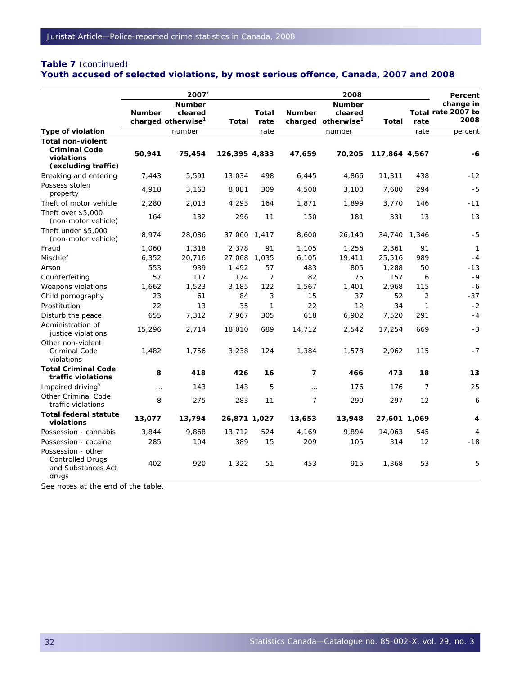#### **Table 7** (continued) **Youth accused of selected violations, by most serious offence, Canada, 2007 and 2008**

|                                                                                       |               | 2007 <sup>r</sup>                                          |               |                      |                | 2008                                                       |               |                | Percent                                 |
|---------------------------------------------------------------------------------------|---------------|------------------------------------------------------------|---------------|----------------------|----------------|------------------------------------------------------------|---------------|----------------|-----------------------------------------|
|                                                                                       | <b>Number</b> | <b>Number</b><br>cleared<br>charged otherwise <sup>1</sup> | Total         | <b>Total</b><br>rate | <b>Number</b>  | <b>Number</b><br>cleared<br>charged otherwise <sup>1</sup> | <b>Total</b>  | rate           | change in<br>Total rate 2007 to<br>2008 |
| <b>Type of violation</b>                                                              |               | number                                                     |               | rate                 |                | number                                                     |               | rate           | percent                                 |
| <b>Total non-violent</b><br><b>Criminal Code</b><br>violations<br>(excluding traffic) | 50,941        | 75,454                                                     | 126,395 4,833 |                      | 47,659         | 70,205                                                     | 117,864 4,567 |                | -6                                      |
| Breaking and entering                                                                 | 7,443         | 5,591                                                      | 13,034        | 498                  | 6,445          | 4,866                                                      | 11,311        | 438            | $-12$                                   |
| Possess stolen<br>property                                                            | 4,918         | 3,163                                                      | 8,081         | 309                  | 4,500          | 3,100                                                      | 7,600         | 294            | $-5$                                    |
| Theft of motor vehicle                                                                | 2,280         | 2,013                                                      | 4,293         | 164                  | 1,871          | 1,899                                                      | 3,770         | 146            | $-11$                                   |
| Theft over \$5,000<br>(non-motor vehicle)                                             | 164           | 132                                                        | 296           | 11                   | 150            | 181                                                        | 331           | 13             | 13                                      |
| Theft under \$5,000<br>(non-motor vehicle)                                            | 8,974         | 28,086                                                     | 37,060 1,417  |                      | 8,600          | 26,140                                                     | 34,740        | 1,346          | $-5$                                    |
| Fraud                                                                                 | 1.060         | 1,318                                                      | 2.378         | 91                   | 1,105          | 1,256                                                      | 2,361         | 91             | $\mathbf{1}$                            |
| Mischief                                                                              | 6,352         | 20,716                                                     | 27,068 1,035  |                      | 6,105          | 19,411                                                     | 25,516        | 989            | $-4$                                    |
| Arson                                                                                 | 553           | 939                                                        | 1,492         | 57                   | 483            | 805                                                        | 1,288         | 50             | $-13$                                   |
| Counterfeiting                                                                        | 57            | 117                                                        | 174           | $\overline{7}$       | 82             | 75                                                         | 157           | 6              | $-9$                                    |
| Weapons violations                                                                    | 1,662         | 1,523                                                      | 3,185         | 122                  | 1,567          | 1,401                                                      | 2,968         | 115            | $-6$                                    |
| Child pornography                                                                     | 23            | 61                                                         | 84            | 3                    | 15             | 37                                                         | 52            | $\overline{2}$ | $-37$                                   |
| Prostitution                                                                          | 22            | 13                                                         | 35            | $\mathbf{1}$         | 22             | 12                                                         | 34            | $\mathbf{1}$   | $-2$                                    |
| Disturb the peace                                                                     | 655           | 7,312                                                      | 7,967         | 305                  | 618            | 6,902                                                      | 7,520         | 291            | $-4$                                    |
| Administration of<br>justice violations                                               | 15,296        | 2,714                                                      | 18,010        | 689                  | 14,712         | 2,542                                                      | 17,254        | 669            | $-3$                                    |
| Other non-violent<br>Criminal Code<br>violations                                      | 1,482         | 1,756                                                      | 3,238         | 124                  | 1,384          | 1,578                                                      | 2,962         | 115            | $-7$                                    |
| <b>Total Criminal Code</b><br>traffic violations                                      | 8             | 418                                                        | 426           | 16                   | $\overline{7}$ | 466                                                        | 473           | 18             | 13                                      |
| Impaired driving <sup>5</sup>                                                         | $\cdots$      | 143                                                        | 143           | 5                    | $\ddotsc$      | 176                                                        | 176           | 7              | 25                                      |
| Other Criminal Code<br>traffic violations                                             | 8             | 275                                                        | 283           | 11                   | $\overline{7}$ | 290                                                        | 297           | 12             | 6                                       |
| <b>Total federal statute</b><br>violations                                            | 13,077        | 13,794                                                     | 26,871 1,027  |                      | 13,653         | 13,948                                                     | 27,601 1,069  |                | 4                                       |
| Possession - cannabis                                                                 | 3,844         | 9,868                                                      | 13,712        | 524                  | 4,169          | 9,894                                                      | 14,063        | 545            | $\overline{4}$                          |
| Possession - cocaine                                                                  | 285           | 104                                                        | 389           | 15                   | 209            | 105                                                        | 314           | 12             | $-18$                                   |
| Possession - other<br><b>Controlled Drugs</b><br>and Substances Act<br>drugs          | 402           | 920                                                        | 1,322         | 51                   | 453            | 915                                                        | 1,368         | 53             | 5                                       |

See notes at the end of the table.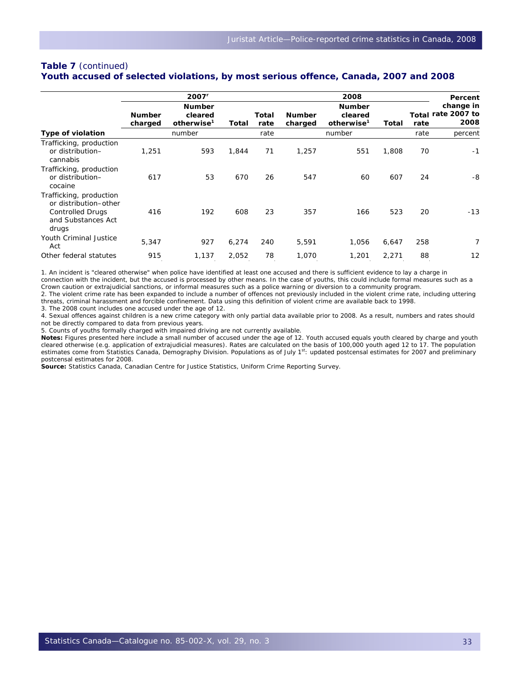#### **Table 7** (continued) **Youth accused of selected violations, by most serious offence, Canada, 2007 and 2008**

|                                                                                                            |                          | 2007 <sup>r</sup>                                  |       |               | Percent                  |                                                    |       |         |                                         |
|------------------------------------------------------------------------------------------------------------|--------------------------|----------------------------------------------------|-------|---------------|--------------------------|----------------------------------------------------|-------|---------|-----------------------------------------|
|                                                                                                            | <b>Number</b><br>charged | <b>Number</b><br>cleared<br>otherwise <sup>1</sup> | Total | Total<br>rate | <b>Number</b><br>charged | <b>Number</b><br>cleared<br>otherwise <sup>1</sup> | Total | rate    | change in<br>Total rate 2007 to<br>2008 |
| Type of violation                                                                                          |                          | number                                             |       | rate          |                          |                                                    | rate  | percent |                                         |
| Trafficking, production<br>or distribution-<br>cannabis                                                    | 1,251                    | 593                                                | 1,844 | 71            | 1,257                    | 551                                                | 1,808 | 70      | $-1$                                    |
| Trafficking, production<br>or distribution-<br>cocaine                                                     | 617                      | 53                                                 | 670   | 26            | 547                      | 60                                                 | 607   | 24      | -8                                      |
| Trafficking, production<br>or distribution-other<br><b>Controlled Drugs</b><br>and Substances Act<br>drugs | 416                      | 192                                                | 608   | 23            | 357                      | 166                                                | 523   | 20      | $-13$                                   |
| <b>Youth Criminal Justice</b><br>Act                                                                       | 5,347                    | 927                                                | 6,274 | 240           | 5,591                    | 1,056                                              | 6,647 | 258     | 7                                       |
| Other federal statutes                                                                                     | 915                      | 1,137                                              | 2,052 | 78            | 1,070                    | 1,201                                              | 2,271 | 88      | 12                                      |

1. An incident is "cleared otherwise" when police have identified at least one accused and there is sufficient evidence to lay a charge in connection with the incident, but the accused is processed by other means. In the case of youths, this could include formal measures such as a Crown caution or extrajudicial sanctions, or informal measures such as a police warning or diversion to a community program.

2. The violent crime rate has been expanded to include a number of offences not previously included in the violent crime rate, including uttering threats, criminal harassment and forcible confinement. Data using this definition of violent crime are available back to 1998.

3. The 2008 count includes one accused under the age of 12.

4. Sexual offences against children is a new crime category with only partial data available prior to 2008. As a result, numbers and rates should not be directly compared to data from previous years.

5. Counts of youths formally charged with impaired driving are not currently available.

**Notes:** Figures presented here include a small number of accused under the age of 12. Youth accused equals youth cleared by charge and youth cleared otherwise (e.g. application of extrajudicial measures). Rates are calculated on the basis of 100,000 youth aged 12 to 17. The population estimates come from Statistics Canada, Demography Division. Populations as of July 1st: updated postcensal estimates for 2007 and preliminary postcensal estimates for 2008.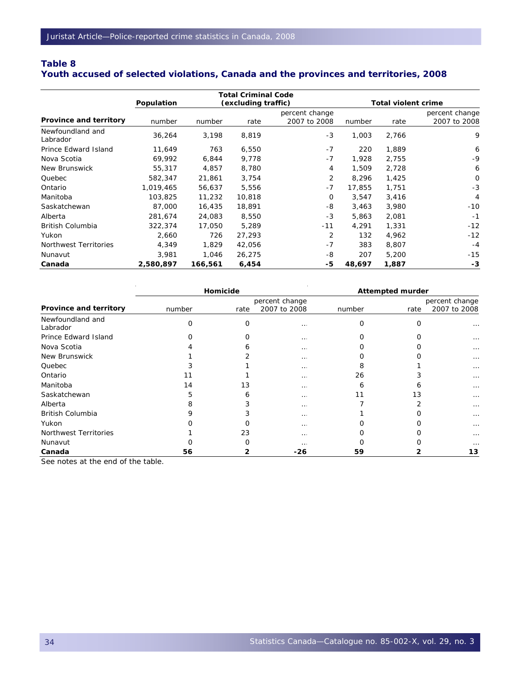#### **Table 8 Youth accused of selected violations, Canada and the provinces and territories, 2008**

|                              | Population |         | <b>Total Criminal Code</b><br>(excluding traffic) |                | <b>Total violent crime</b> |       |                |  |
|------------------------------|------------|---------|---------------------------------------------------|----------------|----------------------------|-------|----------------|--|
|                              |            |         |                                                   | percent change |                            |       | percent change |  |
| Province and territory       | number     | number  | rate                                              | 2007 to 2008   | number                     | rate  | 2007 to 2008   |  |
| Newfoundland and<br>Labrador | 36,264     | 3,198   | 8,819                                             | $-3$           | 1,003                      | 2,766 | 9              |  |
| Prince Edward Island         | 11,649     | 763     | 6,550                                             | $-7$           | 220                        | 1,889 | 6              |  |
| Nova Scotia                  | 69,992     | 6,844   | 9,778                                             | $-7$           | 1,928                      | 2,755 | $-9$           |  |
| New Brunswick                | 55,317     | 4,857   | 8,780                                             | 4              | 1,509                      | 2,728 | 6              |  |
| Quebec                       | 582,347    | 21,861  | 3,754                                             | 2              | 8,296                      | 1,425 | $\Omega$       |  |
| Ontario                      | 1,019,465  | 56,637  | 5,556                                             | $-7$           | 17,855                     | 1,751 | $-3$           |  |
| Manitoba                     | 103,825    | 11,232  | 10,818                                            | 0              | 3,547                      | 3,416 | 4              |  |
| Saskatchewan                 | 87,000     | 16,435  | 18,891                                            | -8             | 3,463                      | 3,980 | $-10$          |  |
| Alberta                      | 281,674    | 24,083  | 8,550                                             | $-3$           | 5,863                      | 2,081 | $-1$           |  |
| <b>British Columbia</b>      | 322,374    | 17,050  | 5,289                                             | $-11$          | 4,291                      | 1,331 | $-12$          |  |
| Yukon                        | 2,660      | 726     | 27,293                                            | 2              | 132                        | 4,962 | $-12$          |  |
| Northwest Territories        | 4,349      | 1,829   | 42,056                                            | $-7$           | 383                        | 8,807 | $-4$           |  |
| Nunavut                      | 3,981      | 1,046   | 26,275                                            | -8             | 207                        | 5,200 | $-15$          |  |
| Canada                       | 2,580,897  | 166,561 | 6,454                                             | -5             | 48,697                     | 1,887 | -3             |  |

|                              |        | Homicide |                | <b>Attempted murder</b> |                |              |  |  |
|------------------------------|--------|----------|----------------|-------------------------|----------------|--------------|--|--|
|                              |        |          | percent change |                         | percent change |              |  |  |
| Province and territory       | number | rate     | 2007 to 2008   | number                  | rate           | 2007 to 2008 |  |  |
| Newfoundland and<br>Labrador | O      | O        | $\cdots$       | O                       | Ω              | $\cdots$     |  |  |
| Prince Edward Island         |        |          | $\cdots$       |                         |                | $\cdots$     |  |  |
| Nova Scotia                  |        | n        | $\cdots$       |                         |                | $\cdots$     |  |  |
| New Brunswick                |        |          | $\cdots$       |                         |                | $\cdots$     |  |  |
| Quebec                       |        |          | $\cdots$       | 8                       |                | $\cdots$     |  |  |
| Ontario                      |        |          | $\cdots$       | 26                      |                | $\cdots$     |  |  |
| Manitoba                     | 14     | 13       | $\cdots$       | 6                       | n              | $\cdots$     |  |  |
| Saskatchewan                 | 5      | 6        | $\cdots$       | 11                      | 13             | $\cdots$     |  |  |
| Alberta                      |        |          | $\cdots$       |                         |                | $\cdots$     |  |  |
| <b>British Columbia</b>      |        |          | $\cdots$       |                         |                | $\cdots$     |  |  |
| Yukon                        |        |          | $\cdots$       |                         |                | $\cdots$     |  |  |
| Northwest Territories        |        | 23       | $\cdots$       |                         |                | $\cdots$     |  |  |
| Nunavut                      |        |          | $\cdots$       |                         |                | $\cdots$     |  |  |
| Canada                       | 56     |          | $-26$          | 59                      |                | 13           |  |  |
|                              |        |          |                |                         |                |              |  |  |

See notes at the end of the table.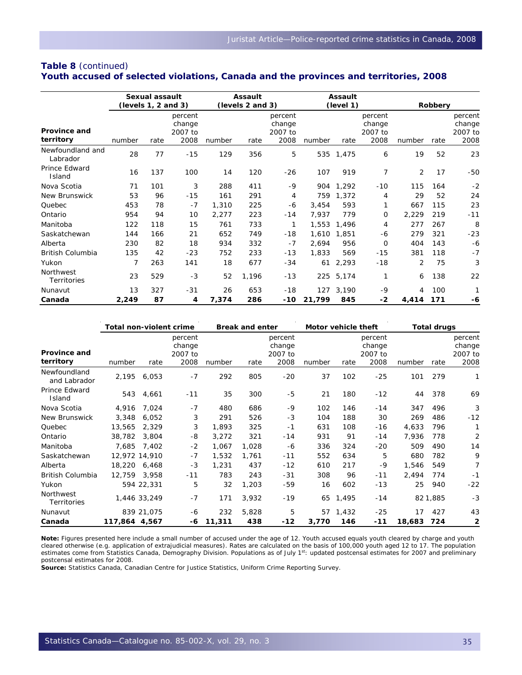#### **Table 8** (continued) **Youth accused of selected violations, Canada and the provinces and territories, 2008**

|                                        | Sexual assault<br>(levels 1, 2 and 3) |      |                              | <b>Assault</b><br>(levels 2 and 3) |       |                              |        | <b>Assault</b><br>(level 1) |                              | Robbery        |      |                              |
|----------------------------------------|---------------------------------------|------|------------------------------|------------------------------------|-------|------------------------------|--------|-----------------------------|------------------------------|----------------|------|------------------------------|
| Province and                           |                                       |      | percent<br>change<br>2007 to |                                    |       | percent<br>change<br>2007 to |        |                             | percent<br>change<br>2007 to |                |      | percent<br>change<br>2007 to |
| territory                              | number                                | rate | 2008                         | number                             | rate  | 2008                         | number | rate                        | 2008                         | number         | rate | 2008                         |
| Newfoundland and<br>Labrador           | 28                                    | 77   | $-15$                        | 129                                | 356   | 5                            | 535    | 1,475                       | 6                            | 19             | 52   | 23                           |
| Prince Edward<br>Island                | 16                                    | 137  | 100                          | 14                                 | 120   | $-26$                        | 107    | 919                         | 7                            | $\overline{2}$ | 17   | $-50$                        |
| Nova Scotia                            | 71                                    | 101  | 3                            | 288                                | 411   | $-9$                         | 904    | 1,292                       | $-10$                        | 115            | 164  | $-2$                         |
| <b>New Brunswick</b>                   | 53                                    | 96   | $-15$                        | 161                                | 291   | 4                            | 759    | 1,372                       | 4                            | 29             | 52   | 24                           |
| Quebec                                 | 453                                   | 78   | $-7$                         | 1,310                              | 225   | -6                           | 3,454  | 593                         | 1                            | 667            | 115  | 23                           |
| Ontario                                | 954                                   | 94   | 10                           | 2,277                              | 223   | $-14$                        | 7,937  | 779                         | 0                            | 2,229          | 219  | $-11$                        |
| Manitoba                               | 122                                   | 118  | 15                           | 761                                | 733   | 1                            | 1,553  | 1.496                       | 4                            | 277            | 267  | 8                            |
| Saskatchewan                           | 144                                   | 166  | 21                           | 652                                | 749   | $-18$                        | 1,610  | 1,851                       | -6                           | 279            | 321  | $-23$                        |
| Alberta                                | 230                                   | 82   | 18                           | 934                                | 332   | $-7$                         | 2,694  | 956                         | 0                            | 404            | 143  | -6                           |
| <b>British Columbia</b>                | 135                                   | 42   | $-23$                        | 752                                | 233   | $-13$                        | 1,833  | 569                         | $-15$                        | 381            | 118  | $-7$                         |
| Yukon                                  | 7                                     | 263  | 141                          | 18                                 | 677   | $-34$                        | 61     | 2,293                       | $-18$                        | 2              | 75   | 3                            |
| <b>Northwest</b><br><b>Territories</b> | 23                                    | 529  | $-3$                         | 52                                 | 1,196 | $-13$                        | 225    | 5,174                       | 1                            | 6              | 138  | 22                           |
| Nunavut                                | 13                                    | 327  | $-31$                        | 26                                 | 653   | $-18$                        |        | 127 3,190                   | $-9$                         | 4              | 100  | 1                            |
| Canada                                 | 2,249                                 | 87   | 4                            | 7,374                              | 286   | -10                          | 21,799 | 845                         | $-2$                         | 4,414          | 171  | -6                           |

|                                  | Total non-violent crime |               |                                      | <b>Break and enter</b> |       |                                      | Motor vehicle theft |       |                                      | Total drugs |         |                                      |
|----------------------------------|-------------------------|---------------|--------------------------------------|------------------------|-------|--------------------------------------|---------------------|-------|--------------------------------------|-------------|---------|--------------------------------------|
| <b>Province and</b><br>territory | number                  | rate          | percent<br>change<br>2007 to<br>2008 | number                 | rate  | percent<br>change<br>2007 to<br>2008 | number              | rate  | percent<br>change<br>2007 to<br>2008 | number      | rate    | percent<br>change<br>2007 to<br>2008 |
| Newfoundland<br>and Labrador     | 2,195                   | 6,053         | $-7$                                 | 292                    | 805   | $-20$                                | 37                  | 102   | $-25$                                | 101         | 279     | 1                                    |
| Prince Edward<br>Island          | 543                     | 4,661         | $-11$                                | 35                     | 300   | $-5$                                 | 21                  | 180   | $-12$                                | 44          | 378     | 69                                   |
| Nova Scotia                      | 4,916                   | 7,024         | $-7$                                 | 480                    | 686   | $-9$                                 | 102                 | 146   | -14                                  | 347         | 496     | 3                                    |
| New Brunswick                    | 3,348                   | 6,052         | 3                                    | 291                    | 526   | $-3$                                 | 104                 | 188   | 30                                   | 269         | 486     | $-12$                                |
| Quebec                           | 13,565                  | 2,329         | 3                                    | 1,893                  | 325   | $-1$                                 | 631                 | 108   | $-16$                                | 4,633       | 796     | 1                                    |
| Ontario                          | 38,782                  | 3,804         | -8                                   | 3,272                  | 321   | $-14$                                | 931                 | 91    | $-14$                                | 7,936       | 778     | 2                                    |
| Manitoba                         | 7,685                   | 7,402         | $-2$                                 | 1,067                  | 1,028 | -6                                   | 336                 | 324   | $-20$                                | 509         | 490     | 14                                   |
| Saskatchewan                     |                         | 12,972 14,910 | $-7$                                 | 1,532                  | 1,761 | $-11$                                | 552                 | 634   | 5                                    | 680         | 782     | 9                                    |
| Alberta                          | 18,220                  | 6,468         | $-3$                                 | 1,231                  | 437   | $-12$                                | 610                 | 217   | -9                                   | 1,546       | 549     | $\overline{7}$                       |
| <b>British Columbia</b>          | 12,759                  | 3,958         | $-11$                                | 783                    | 243   | $-31$                                | 308                 | 96    | $-11$                                | 2,494       | 774     | $-1$                                 |
| Yukon                            |                         | 594 22,331    | 5                                    | 32                     | 1,203 | -59                                  | 16                  | 602   | $-13$                                | 25          | 940     | $-22$                                |
| Northwest<br>Territories         |                         | 1,446 33,249  | $-7$                                 | 171                    | 3,932 | $-19$                                | 65                  | 1,495 | $-14$                                |             | 821,885 | $-3$                                 |
| Nunavut                          |                         | 839 21,075    | -6                                   | 232                    | 5,828 | 5                                    | 57                  | 1,432 | $-25$                                | 17          | 427     | 43                                   |
| Canada                           | 117,864 4,567           |               | -6                                   | 11,311                 | 438   | $-12$                                | 3,770               | 146   | $-11$                                | 18,683      | 724     | 2                                    |

**Note:** Figures presented here include a small number of accused under the age of 12. Youth accused equals youth cleared by charge and youth cleared otherwise (e.g. application of extrajudicial measures). Rates are calculated on the basis of 100,000 youth aged 12 to 17. The population estimates come from Statistics Canada, Demography Division. Populations as of July 1<sup>st</sup>: updated postcensal estimates for 2007 and preliminary postcensal estimates for 2008.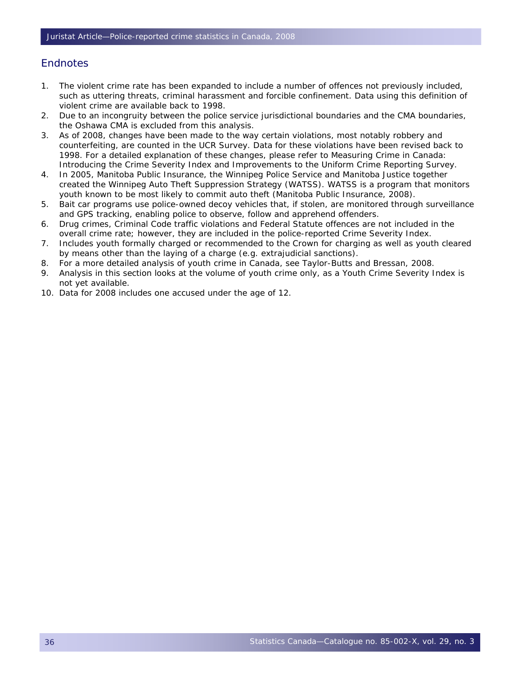#### **Endnotes**

- 1. The violent crime rate has been expanded to include a number of offences not previously included, such as uttering threats, criminal harassment and forcible confinement. Data using this definition of violent crime are available back to 1998.
- 2. Due to an incongruity between the police service jurisdictional boundaries and the CMA boundaries, the Oshawa CMA is excluded from this analysis.
- 3. As of 2008, changes have been made to the way certain violations, most notably robbery and counterfeiting, are counted in the UCR Survey. Data for these violations have been revised back to 1998. For a detailed explanation of these changes, please refer to *[Measuring Crime in Canada:](http://www.statcan.gc.ca:8092/pub/85-002-x/2009003/article/10902-eng.htm#r10)  [Introducing the Crime Severity Index and Improvements to the Uniform Crime Reporting Survey](http://www.statcan.gc.ca:8092/pub/85-002-x/2009003/article/10902-eng.htm#r10)*.
- 4. In 2005, Manitoba Public Insurance, the Winnipeg Police Service and Manitoba Justice together created the Winnipeg Auto Theft Suppression Strategy (WATSS). WATSS is a program that monitors youth known to be most likely to commit auto theft ([Manitoba Public Insurance, 2008](http://www.statcan.gc.ca:8092/pub/85-002-x/2009003/article/10902-eng.htm#r7)).
- 5. Bait car programs use police-owned decoy vehicles that, if stolen, are monitored through surveillance and GPS tracking, enabling police to observe, follow and apprehend offenders.
- 6. Drug crimes, *Criminal Code* traffic violations and Federal Statute offences are not included in the overall crime rate; however, they are included in the police-reported Crime Severity Index.
- 7. Includes youth formally charged or recommended to the Crown for charging as well as youth cleared by means other than the laying of a charge (e.g. extrajudicial sanctions).
- 8. For a more detailed analysis of youth crime in Canada, see [Taylor-Butts and Bressan, 2008.](http://www.statcan.gc.ca:8092/pub/85-002-x/2009003/article/10902-eng.htm#r10)
- 9. Analysis in this section looks at the volume of youth crime only, as a Youth Crime Severity Index is not yet available.
- 10. Data for 2008 includes one accused under the age of 12.